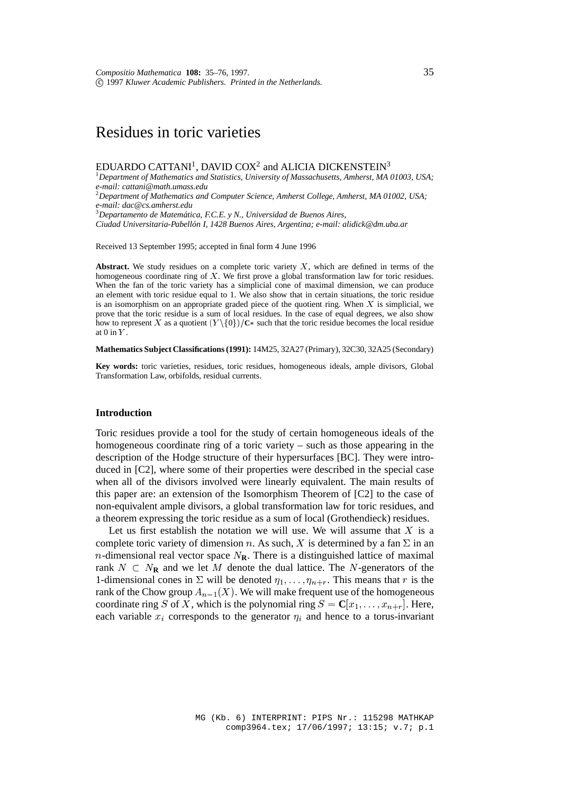# Residues in toric varieties

## EDUARDO CATTANI<sup>1</sup>, DAVID COX<sup>2</sup> and ALICIA DICKENSTEIN<sup>3</sup>

1 *Department of Mathematics and Statistics, University of Massachusetts, Amherst, MA 01003, USA; e-mail: cattani@math.umass.edu* 2 *Department of Mathematics and Computer Science, Amherst College, Amherst, MA 01002, USA; e-mail: dac@cs.amherst.edu* 3 *Departamento de Matematica, F.C.E. y N., Universidad de Buenos Aires, ´ Ciudad Universitaria-Pabellon I, 1428 Buenos Aires, Argentina; e-mail: alidick@dm.uba.ar ´*

Received 13 September 1995; accepted in final form 4 June 1996

**Abstract.** We study residues on a complete toric variety <sup>X</sup>, which are defined in terms of the homogeneous coordinate ring of <sup>X</sup>. We first prove a global transformation law for toric residues. When the fan of the toric variety has a simplicial cone of maximal dimension, we can produce an element with toric residue equal to 1. We also show that in certain situations, the toric residue is an isomorphism on an appropriate graded piece of the quotient ring. When  $X$  is simplicial, we prove that the toric residue is a sum of local residues. In the case of equal degrees, we also show how to represent X as a quotient  $(Y \setminus \{0\})/C*$  such that the toric residue becomes the local residue at 0 in  $Y$ .

**Mathematics Subject Classifications (1991):** 14M25, 32A27 (Primary), 32C30, 32A25 (Secondary)

**Key words:** toric varieties, residues, toric residues, homogeneous ideals, ample divisors, Global Transformation Law, orbifolds, residual currents.

## **Introduction**

Toric residues provide a tool for the study of certain homogeneous ideals of the homogeneous coordinate ring of a toric variety – such as those appearing in the description of the Hodge structure of their hypersurfaces [BC]. They were introduced in [C2], where some of their properties were described in the special case when all of the divisors involved were linearly equivalent. The main results of this paper are: an extension of the Isomorphism Theorem of [C2] to the case of non-equivalent ample divisors, a global transformation law for toric residues, and a theorem expressing the toric residue as a sum of local (Grothendieck) residues.

Let us first establish the notation we will use. We will assume that  $X$  is a complete toric variety of dimension n. As such, X is determined by a fan  $\Sigma$  in an *n*-dimensional real vector space  $N_{\rm R}$ . There is a distinguished lattice of maximal rank  $N \subset N_R$  and we let M denote the dual lattice. The N-generators of the 1-dimensional cones in  $\Sigma$  will be denoted  $\eta_1, \ldots, \eta_{n+r}$ . This means that r is the rank of the Chow group  $A_{n-1}(X)$ . We will make frequent use of the homogeneous coordinate ring S of X, which is the polynomial ring  $S = \mathbb{C}[x_1, \ldots, x_{n+r}]$ . Here, each variable  $x_i$  corresponds to the generator  $\eta_i$  and hence to a torus-invariant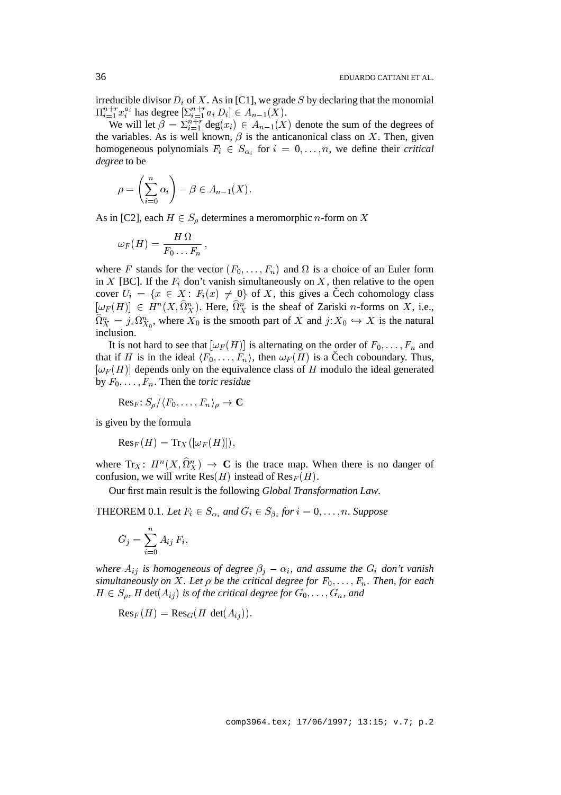irreducible divisor  $D_i$  of X. As in [C1], we grade S by declaring that the monomial  $\Pi_{i=1}^{n+r} x_i^{a_i}$  has degree  $[\sum_{i=1}^{n+r} a_i D_i] \in A_{n-1}(X)$ .

We will let  $\beta = \sum_{i=1}^{n+r} \text{deg}(x_i) \in A_{n-1}(X)$  denote the sum of the degrees of the variables. As is well known,  $\beta$  is the anticanonical class on X. Then, given homogeneous polynomials  $F_i \in S_{\alpha_i}$  for  $i = 0, \ldots, n$ , we define their *critical degree* to be

$$
\rho = \left(\sum_{i=0}^n \alpha_i\right) - \beta \in A_{n-1}(X).
$$

As in [C2], each  $H \in S_\rho$  determines a meromorphic *n*-form on X

$$
\omega_F(H) = \frac{H\,\Omega}{F_0\ldots F_n}\,,
$$

where F stands for the vector  $(F_0, \ldots, F_n)$  and  $\Omega$  is a choice of an Euler form in X [BC]. If the  $F_i$  don't vanish simultaneously on X, then relative to the open cover  $U_i = \{x \in X : F_i(x) \neq 0\}$  of X, this gives a Čech cohomology class  $[\omega_F(H)] \in H^n(X, \Omega_X^n)$ . Here,  $\Omega_X^n$  is the sheaf of Zariski *n*-forms on X, i.e.,  $\Omega_X^n = j_* \Omega_{X_0}^n$ , where  $X_0$  is the smooth part of X and  $j: X_0 \hookrightarrow X$  is the natural inclusion.

It is not hard to see that  $[\omega_F(H)]$  is alternating on the order of  $F_0, \ldots, F_n$  and that if H is in the ideal  $\langle F_0, \ldots, F_n \rangle$ , then  $\omega_F (H)$  is a Čech coboundary. Thus,  $[\omega_F(H)]$  depends only on the equivalence class of H modulo the ideal generated by  $F_0, \ldots, F_n$ . Then the *toric residue* 

$$
\mathrm{Res}_F\colon S_\rho/\langle F_0,\ldots,F_n\rangle_\rho\to\mathbf{C}
$$

is given by the formula

 $\text{Res}_F(H) = \text{Tr}_X([\omega_F(H)]),$ 

where  $Tr_X: H^n(X, \Omega_X^n) \to \mathbf{C}$  is the trace map. When there is no danger of confusion, we will write  $Res(H)$  instead of  $Res_F(H)$ .

Our first main result is the following *Global Transformation Law*.

**THEOREM** 0.1. Let  $F_i \in S_{\alpha_i}$  and  $G_i \in S_{\beta_i}$  for  $i = 0, \ldots, n$ . Suppose

$$
G_j = \sum_{i=0}^n A_{ij} F_i,
$$

*where*  $A_{ij}$  *is homogeneous of degree*  $\beta_j - \alpha_i$ *, and assume the*  $G_i$  *don't vanish simultaneously on* X. Let  $\rho$  be the critical degree for  $F_0, \ldots, F_n$ . Then, for each  $H \in S_\rho$ , H det $(A_{ij})$  *is of the critical degree for*  $G_0, \ldots, G_n$ , and

 $\text{Res}_F(H) = \text{Res}_G(H \text{ det}(A_{ij})).$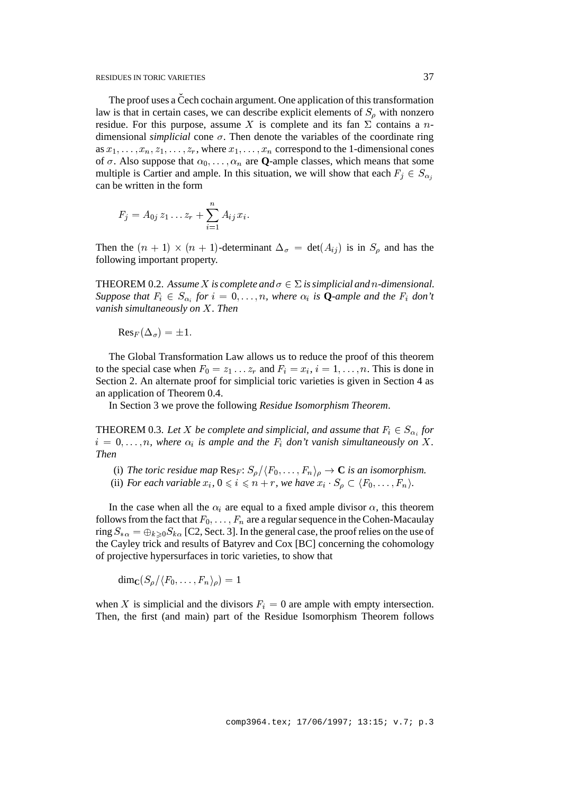The proof uses a Čech cochain argument. One application of this transformation law is that in certain cases, we can describe explicit elements of  $S<sub>o</sub>$  with nonzero residue. For this purpose, assume X is complete and its fan  $\Sigma$  contains a ndimensional *simplicial* cone  $\sigma$ . Then denote the variables of the coordinate ring as  $x_1, \ldots, x_n, z_1, \ldots, z_r$ , where  $x_1, \ldots, x_n$  correspond to the 1-dimensional cones of  $\sigma$ . Also suppose that  $\alpha_0$ , ...,  $\alpha_n$  are **Q**-ample classes, which means that some multiple is Cartier and ample. In this situation, we will show that each  $F_j \in S_{\alpha_j}$ can be written in the form

$$
F_j = A_{0j} z_1 \dots z_r + \sum_{i=1}^n A_{ij} x_i.
$$

Then the  $(n + 1) \times (n + 1)$ -determinant  $\Delta_{\sigma} = \det(A_{ij})$  is in  $S_{\rho}$  and has the following important property.

**THEOREM** 0.2. Assume X is complete and  $\sigma \in \Sigma$  is simplicial and n-dimensional. *Suppose that*  $F_i \in S_{\alpha_i}$  *for*  $i = 0, \ldots, n$ *, where*  $\alpha_i$  *is* **Q***-ample and the*  $F_i$  *don't vanish simultaneously on* X*. Then*

$$
\mathrm{Res}_F(\Delta_\sigma)=\pm 1.
$$

The Global Transformation Law allows us to reduce the proof of this theorem to the special case when  $F_0 = z_1 \dots z_r$  and  $F_i = x_i$ ,  $i = 1, \dots, n$ . This is done in Section 2. An alternate proof for simplicial toric varieties is given in Section 4 as an application of Theorem 0.4.

In Section 3 we prove the following *Residue Isomorphism Theorem*.

**THEOREM** 0.3. Let X be complete and simplicial, and assume that  $F_i \in S_{\alpha_i}$  for  $i = 0, \ldots, n$ , where  $\alpha_i$  is ample and the  $F_i$  don't vanish simultaneously on X. *Then*

- (i) The toric residue map  $\text{Res}_F: S_\rho/\langle F_0,\ldots,F_n\rangle_\rho \to \mathbb{C}$  *is an isomorphism.*
- (ii) *For each variable*  $x_i$ ,  $0 \leq i \leq n+r$ *, we have*  $x_i \cdot S_o \subset \langle F_0, \ldots, F_n \rangle$ *.*

In the case when all the  $\alpha_i$  are equal to a fixed ample divisor  $\alpha$ , this theorem follows from the fact that  $F_0, \ldots, F_n$  are a regular sequence in the Cohen-Macaulay ring  $S_{*0} = \bigoplus_{k\geq 0} S_{k0}$  [C2, Sect. 3]. In the general case, the proof relies on the use of the Cayley trick and results of Batyrev and Cox [BC] concerning the cohomology of projective hypersurfaces in toric varieties, to show that

$$
\dim_{\mathbf{C}}(S_{\rho}/\langle F_0,\ldots,F_n\rangle_{\rho})=1
$$

when X is simplicial and the divisors  $F_i = 0$  are ample with empty intersection. Then, the first (and main) part of the Residue Isomorphism Theorem follows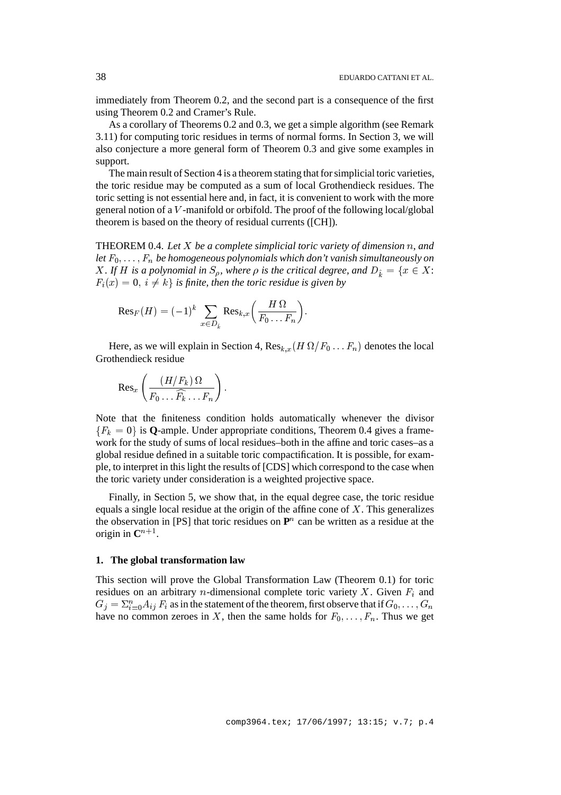immediately from Theorem 0.2, and the second part is a consequence of the first using Theorem 0.2 and Cramer's Rule.

As a corollary of Theorems 0.2 and 0.3, we get a simple algorithm (see Remark 3.11) for computing toric residues in terms of normal forms. In Section 3, we will also conjecture a more general form of Theorem 0.3 and give some examples in support.

The main result of Section 4 is a theorem stating that for simplicial toric varieties, the toric residue may be computed as a sum of local Grothendieck residues. The toric setting is not essential here and, in fact, it is convenient to work with the more general notion of a V -manifold or orbifold. The proof of the following local/global theorem is based on the theory of residual currents ([CH]).

THEOREM 0.4. *Let* X *be a complete simplicial toric variety of dimension* n*, and let*  $F_0$ , ...,  $F_n$  *be homogeneous polynomials which don't vanish simultaneously on X*. If H is a polynomial in  $S_{\rho}$ , where  $\rho$  is the critical degree, and  $D_{\hat{k}} = \{x \in X:$  $F_i(x) = 0, i \neq k$  *i s* finite, then the toric residue is given by

$$
\mathrm{Res}_F(H)=(-1)^k\,\sum_{x\in D_{\hat{k}}}\mathrm{Res}_{k,x}\Big(\frac{H\,\Omega}{F_0\ldots F_n}\Big).
$$

Here, as we will explain in Section 4,  $\text{Res}_{k,x}(H \Omega/F_0 \dots F_n)$  denotes the local Grothendieck residue

$$
\mathrm{Res}_x\left(\frac{(H/F_k)\,\Omega}{F_0\ldots\widehat{F_k}\ldots F_n}\right).
$$

Note that the finiteness condition holds automatically whenever the divisor  ${F_k = 0}$  is **Q**-ample. Under appropriate conditions, Theorem 0.4 gives a framework for the study of sums of local residues–both in the affine and toric cases–as a global residue defined in a suitable toric compactification. It is possible, for example, to interpret in this light the results of [CDS] which correspond to the case when the toric variety under consideration is a weighted projective space.

Finally, in Section 5, we show that, in the equal degree case, the toric residue equals a single local residue at the origin of the affine cone of  $X$ . This generalizes the observation in [PS] that toric residues on  $\mathbf{P}^n$  can be written as a residue at the origin in  $\mathbb{C}^{n+1}$ .

## **1. The global transformation law**

This section will prove the Global Transformation Law (Theorem 0.1) for toric residues on an arbitrary *n*-dimensional complete toric variety X. Given  $F_i$  and  $G_j = \sum_{i=0}^n A_{ij} F_i$  as in the statement of the theorem, first observe that if  $G_0,\ldots,G_n$ have no common zeroes in X, then the same holds for  $F_0, \ldots, F_n$ . Thus we get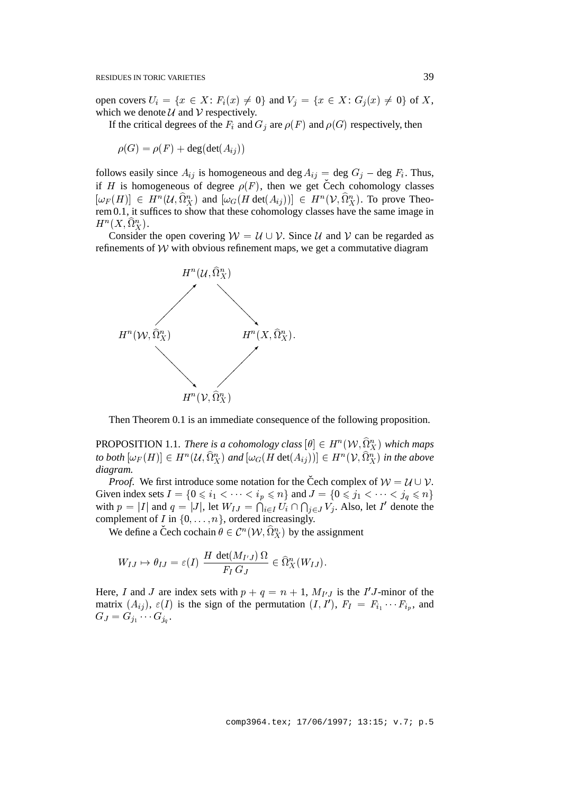open covers  $U_i = \{x \in X: F_i(x) \neq 0\}$  and  $V_j = \{x \in X: G_j(x) \neq 0\}$  of X, which we denote  $U$  and  $V$  respectively.

If the critical degrees of the  $F_i$  and  $G_j$  are  $\rho(F)$  and  $\rho(G)$  respectively, then

 $\rho(G) = \rho(F) + \deg(\det(A_{ij}))$ 

follows easily since  $A_{ij}$  is homogeneous and deg  $A_{ij}$  = deg  $G_j$  – deg  $F_i$ . Thus, if H is homogeneous of degree  $\rho(F)$ , then we get Čech cohomology classes  $[\omega_F(H)] \in H^n(\mathcal{U}, \Omega_X^n)$  and  $[\omega_G(H \det(A_{ij}))] \in H^n(\mathcal{V}, \Omega_X^n)$ . To prove Theorem 0.1, it suffices to show that these cohomology classes have the same image in  $H^n(X, \Omega^n_X).$ 

Consider the open covering  $W = U \cup V$ . Since U and V can be regarded as refinements of  $W$  with obvious refinement maps, we get a commutative diagram



Then Theorem 0.1 is an immediate consequence of the following proposition.

PROPOSITION 1.1. *There is a cohomology class*  $[\theta] \in H^n(\mathcal{W}, \Omega^n_X)$  which maps to both  $[\omega_F(H)] \in H^n(\mathcal{U}, \Omega_X^n)$  and  $[\omega_G(H \det(A_{ij}))] \in H^n(\mathcal{V}, \Omega_X^n)$  in the above *diagram.*

*Proof.* We first introduce some notation for the Čech complex of  $W = U \cup V$ . Given index sets  $I = \{0 \le i_1 < \cdots < i_p \le n\}$  and  $J = \{0 \le j_1 < \cdots < j_q \le n\}$ with  $p = |I|$  and  $q = |J|$ , let  $W_{IJ} = \bigcap_{i \in I} U_i \cap \bigcap_{j \in J} V_j$ . Also, let I' denote the complement of I in  $\{0,\ldots,n\}$ , ordered increasingly.

We define a Čech cochain  $\theta \in C^n(\mathcal{W}, \widehat{\Omega}_X^n)$  by the assignment

$$
W_{IJ} \mapsto \theta_{IJ} = \varepsilon(I) \frac{H \det(M_{I'J}) \Omega}{F_I G_J} \in \widehat{\Omega}_X^n(W_{IJ}).
$$

Here, I and J are index sets with  $p + q = n + 1$ ,  $M_{I'J}$  is the I'J-minor of the matrix  $(A_{ij})$ ,  $\varepsilon(I)$  is the sign of the permutation  $(I, I')$ ,  $F_I = F_{i_1} \cdots F_{i_p}$ , and  $G_J = G_{j_1} \cdots G_{j_q}.$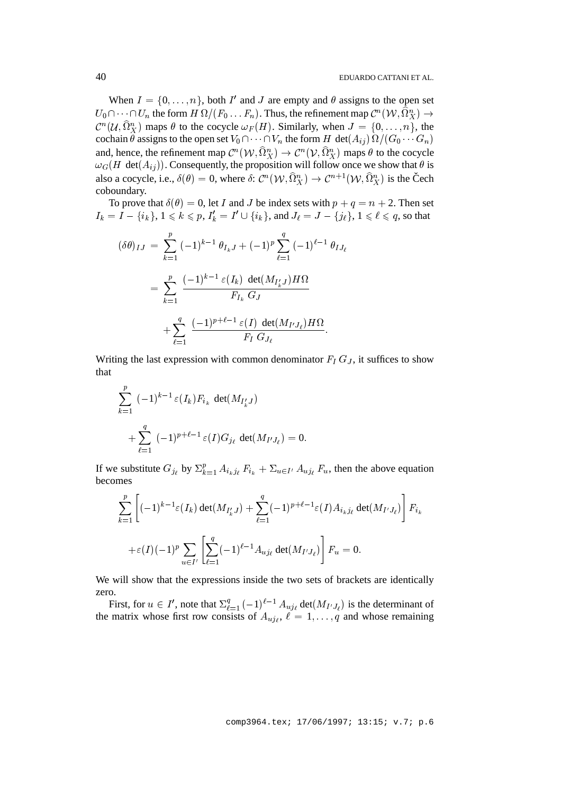When  $I = \{0, \ldots, n\}$ , both I' and J are empty and  $\theta$  assigns to the open set  $U_0\cap \cdots \cap U_n$  the form  $H\:\Omega/(F_0\ldots F_n).$  Thus, the refinement map  $\mathcal{C}^n(\mathcal{W},\Omega_X^n)\to$  $\mathcal{C}^n(\mathcal{U}, \Omega_X^n)$  maps  $\theta$  to the cocycle  $\omega_F(H)$ . Similarly, when  $J = \{0, \ldots, n\}$ , the cochain  $\theta$  assigns to the open set  $V_0 \cap \cdots \cap V_n$  the form  $H$  det $(A_{ij}) \Omega / (G_0 \cdots G_n)$ and, hence, the refinement map  $\mathcal{C}^n(\mathcal{W}, \Omega_X^n) \to \mathcal{C}^n(\mathcal{V}, \Omega_X^n)$  maps  $\theta$  to the cocycle  $\omega_G(H \det(A_{ij}))$ . Consequently, the proposition will follow once we show that  $\theta$  is also a cocycle, i.e.,  $\delta(\theta) = 0$ , where  $\delta: C^n(\mathcal{W}, \widehat{\Omega}_X^n) \to C^{n+1}(\mathcal{W}, \widehat{\Omega}_X^n)$  is the Čech coboundary.

To prove that  $\delta(\theta) = 0$ , let I and J be index sets with  $p + q = n + 2$ . Then set  $I_k = I - \{i_k\}, 1 \leqslant k \leqslant p, I'_k = I' \cup \{i_k\},$  and  $J_\ell = J - \{j_\ell\}, 1 \leqslant \ell \leqslant q,$  so that

$$
(\delta \theta)_{IJ} = \sum_{k=1}^p (-1)^{k-1} \theta_{I_k J} + (-1)^p \sum_{\ell=1}^q (-1)^{\ell-1} \theta_{I J_\ell}
$$
  
= 
$$
\sum_{k=1}^p \frac{(-1)^{k-1} \varepsilon(I_k) \det(M_{I'_k J}) H \Omega}{F_{I_k} G_J}
$$
  
+ 
$$
\sum_{\ell=1}^q \frac{(-1)^{p+\ell-1} \varepsilon(I) \det(M_{I' J_\ell}) H \Omega}{F_I G_{J_\ell}}.
$$

Writing the last expression with common denominator  $F_I G_J$ , it suffices to show that

$$
\sum_{k=1}^{p} (-1)^{k-1} \varepsilon(I_k) F_{i_k} \det(M_{I'_k J})
$$
  
+ 
$$
\sum_{\ell=1}^{q} (-1)^{p+\ell-1} \varepsilon(I) G_{j_\ell} \det(M_{I'J_\ell}) = 0.
$$

If we substitute  $G_{j_\ell}$  by  $\Sigma_{k=1}^p A_{i_kj_\ell} F_{i_k} + \Sigma_{u \in I'} A_{u j_\ell} F_u$ , then the above equation becomes

$$
\sum_{k=1}^{p} \left[ (-1)^{k-1} \varepsilon(I_k) \det(M_{I'_kJ}) + \sum_{\ell=1}^{q} (-1)^{p+\ell-1} \varepsilon(I) A_{i_kj_\ell} \det(M_{I'J_\ell}) \right] F_{i_k}
$$
  
 
$$
+ \varepsilon(I)(-1)^p \sum_{u \in I'} \left[ \sum_{\ell=1}^{q} (-1)^{\ell-1} A_{uj_\ell} \det(M_{I'J_\ell}) \right] F_u = 0.
$$

We will show that the expressions inside the two sets of brackets are identically zero.

First, for  $u \in I'$ , note that  $\Sigma_{\ell=1}^q (-1)^{\ell-1} A_{uj_\ell} \det(M_{I'J_\ell})$  is the determinant of the matrix whose first row consists of  $A_{uj_\ell}$ ,  $\ell = 1, \ldots, q$  and whose remaining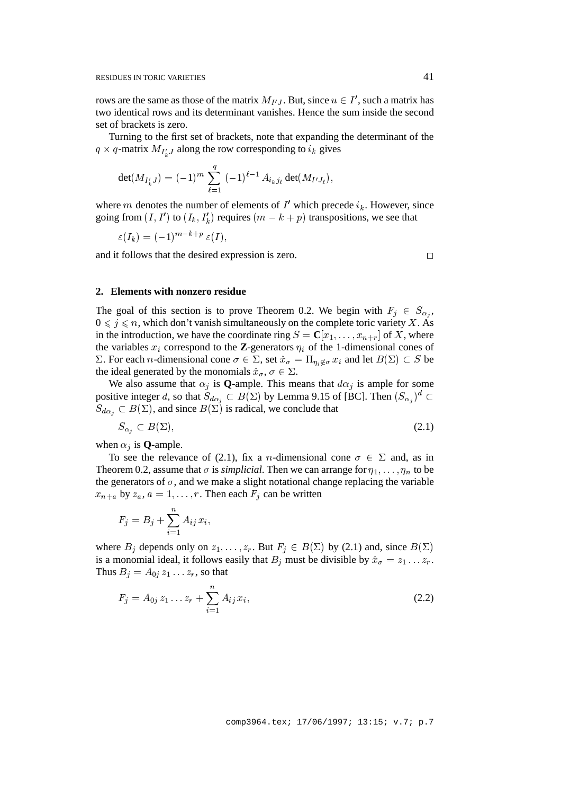rows are the same as those of the matrix  $M_{I'J}$ . But, since  $u \in I'$ , such a matrix has two identical rows and its determinant vanishes. Hence the sum inside the second set of brackets is zero.

Turning to the first set of brackets, note that expanding the determinant of the  $q \times q$ -matrix  $M_{I'_{k}J}$  along the row corresponding to  $i_{k}$  gives

$$
\det(M_{I'_{k}J}) = (-1)^{m} \sum_{\ell=1}^{q} (-1)^{\ell-1} A_{i_{k}j_{\ell}} \det(M_{I'J_{\ell}}),
$$

where m denotes the number of elements of  $I'$  which precede  $i_k$ . However, since going from  $(I, I')$  to  $(I_k, I'_k)$  requires  $(m - k + p)$  transpositions, we see that

$$
\varepsilon(I_k) = (-1)^{m-k+p} \varepsilon(I),
$$

and it follows that the desired expression is zero.  $\Box$ 

#### **2. Elements with nonzero residue**

The goal of this section is to prove Theorem 0.2. We begin with  $F_i \in S_{\alpha_i}$ ,  $0 \leq j \leq n$ , which don't vanish simultaneously on the complete toric variety X. As in the introduction, we have the coordinate ring  $S = \mathbb{C}[x_1, \ldots, x_{n+r}]$  of X, where the variables  $x_i$  correspond to the **Z**-generators  $\eta_i$  of the 1-dimensional cones of  $\Sigma$ . For each *n*-dimensional cone  $\sigma \in \Sigma$ , set  $\hat{x}_{\sigma} = \Pi_{n_i \notin \sigma} x_i$  and let  $B(\Sigma) \subset S$  be the ideal generated by the monomials  $\hat{x}_{\sigma}, \sigma \in \Sigma$ .

We also assume that  $\alpha_i$  is **Q**-ample. This means that  $d\alpha_i$  is ample for some positive integer d, so that  $S_{d\alpha_j} \subset B(\Sigma)$  by Lemma 9.15 of [BC]. Then  $(S_{\alpha_j})^d \subset$  $S_{d\alpha_i} \subset B(\Sigma)$ , and since  $B(\Sigma)$  is radical, we conclude that

$$
S_{\alpha_j} \subset B(\Sigma),\tag{2.1}
$$

when  $\alpha_j$  is **Q**-ample.

To see the relevance of (2.1), fix a *n*-dimensional cone  $\sigma \in \Sigma$  and, as in Theorem 0.2, assume that  $\sigma$  is *simplicial*. Then we can arrange for  $\eta_1, \ldots, \eta_n$  to be the generators of  $\sigma$ , and we make a slight notational change replacing the variable  $x_{n+a}$  by  $z_a$ ,  $a = 1, \ldots, r$ . Then each  $F_i$  can be written

$$
F_j = B_j + \sum_{i=1}^n A_{ij} x_i,
$$

where  $B_j$  depends only on  $z_1, \ldots, z_r$ . But  $F_j \in B(\Sigma)$  by (2.1) and, since  $B(\Sigma)$ is a monomial ideal, it follows easily that  $B_i$  must be divisible by  $\hat{x}_{\sigma} = z_1 \dots z_r$ . Thus  $B_i = A_{0i} z_1 \dots z_r$ , so that

$$
F_j = A_{0j} z_1 \dots z_r + \sum_{i=1}^n A_{ij} x_i,
$$
\n(2.2)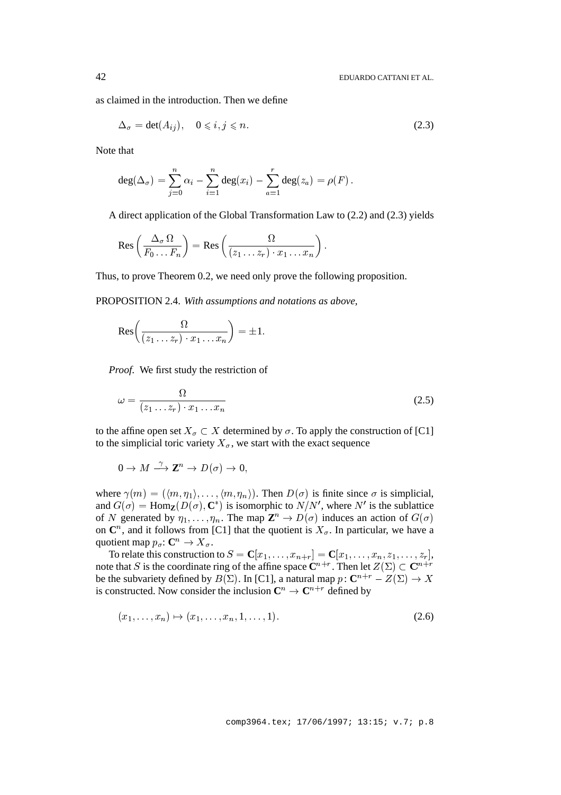as claimed in the introduction. Then we define

$$
\Delta_{\sigma} = \det(A_{ij}), \quad 0 \leqslant i, j \leqslant n. \tag{2.3}
$$

Note that

$$
\deg(\Delta_\sigma)=\sum_{j=0}^n\alpha_i-\sum_{i=1}^n\deg(x_i)-\sum_{a=1}^r\deg(z_a)=\rho(F)\,.
$$

A direct application of the Global Transformation Law to (2.2) and (2.3) yields

$$
\text{Res}\left(\frac{\Delta_{\sigma}\,\Omega}{F_0\ldots F_n}\right)=\text{Res}\left(\frac{\Omega}{(z_1\ldots z_r)\cdot x_1\ldots x_n}\right).
$$

Thus, to prove Theorem 0.2, we need only prove the following proposition.

PROPOSITION 2.4. *With assumptions and notations as above,*

$$
\text{Res}\bigg(\frac{\Omega}{(z_1\ldots z_r)\cdot x_1\ldots x_n}\bigg)=\pm 1.
$$

*Proof*. We first study the restriction of

$$
\omega = \frac{\Omega}{(z_1 \dots z_r) \cdot x_1 \dots x_n} \tag{2.5}
$$

to the affine open set  $X_{\sigma} \subset X$  determined by  $\sigma$ . To apply the construction of [C1] to the simplicial toric variety  $X_{\sigma}$ , we start with the exact sequence

$$
0 \to M \xrightarrow{\gamma} \mathbb{Z}^n \to D(\sigma) \to 0,
$$

where  $\gamma(m) = (\langle m, \eta_1 \rangle, \dots, \langle m, \eta_n \rangle)$ . Then  $D(\sigma)$  is finite since  $\sigma$  is simplicial, and  $G(\sigma) = \text{Hom}_{\mathbf{Z}}(D(\sigma), \mathbf{C}^*)$  is isomorphic to  $N/N'$ , where  $N'$  is the sublattice of N generated by  $\eta_1,\ldots,\eta_n$ . The map  $\mathbb{Z}^n \to D(\sigma)$  induces an action of  $G(\sigma)$ on  $\mathbb{C}^n$ , and it follows from [C1] that the quotient is  $X_{\sigma}$ . In particular, we have a quotient map  $p_{\sigma} : \mathbf{C}^n \to X_{\sigma}$ .

To relate this construction to  $S = \mathbf{C}[x_1, \ldots, x_{n+r}] = \mathbf{C}[x_1, \ldots, x_n, z_1, \ldots, z_r],$ note that S is the coordinate ring of the affine space  $\mathbf{C}^{n+r}$ . Then let  $Z(\Sigma) \subset \mathbf{C}^{n+r}$ be the subvariety defined by  $B(\Sigma)$ . In [C1], a natural map  $p: \mathbb{C}^{n+r} - Z(\Sigma) \to X$ is constructed. Now consider the inclusion  $\mathbb{C}^n \to \mathbb{C}^{n+r}$  defined by

$$
(x_1, \ldots, x_n) \mapsto (x_1, \ldots, x_n, 1, \ldots, 1). \tag{2.6}
$$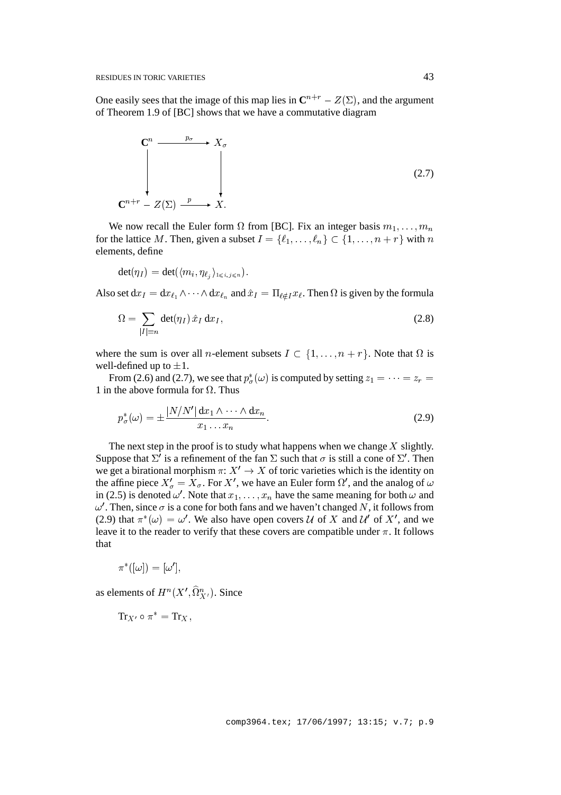One easily sees that the image of this map lies in  $\mathbb{C}^{n+r}$  –  $Z(\Sigma)$ , and the argument of Theorem 1.9 of [BC] shows that we have a commutative diagram

$$
\begin{array}{ccc}\n\mathbf{C}^n & \xrightarrow{p_{\sigma}} & X_{\sigma} \\
\downarrow & & \downarrow \\
\mathbf{C}^{n+r} & Z(\Sigma) & \xrightarrow{p} & X.\n\end{array}
$$
\n(2.7)

We now recall the Euler form  $\Omega$  from [BC]. Fix an integer basis  $m_1, \ldots, m_n$ for the lattice M. Then, given a subset  $I = \{\ell_1, \ldots, \ell_n\} \subset \{1, \ldots, n + r\}$  with n elements, define

$$
\det(\eta_I)=\det(\langle m_i,\eta_{\ell_j}\rangle_{1\leqslant i,j\leqslant n}).
$$

Also set  $dx_I = dx_{\ell_1} \wedge \cdots \wedge dx_{\ell_n}$  and  $\hat{x}_I = \prod_{\ell \notin I} x_\ell$ . Then  $\Omega$  is given by the formula

$$
\Omega = \sum_{|I|=n} \det(\eta_I) \hat{x}_I \, \mathrm{d}x_I,\tag{2.8}
$$

where the sum is over all *n*-element subsets  $I \subset \{1,\ldots,n + r\}$ . Note that  $\Omega$  is well-defined up to  $\pm 1$ .

From (2.6) and (2.7), we see that  $p^*_{\sigma}(\omega)$  is computed by setting  $z_1 = \cdots = z_r =$ 1 in the above formula for  $\Omega$ . Thus

$$
p_{\sigma}^*(\omega) = \pm \frac{|N/N'| \, \mathrm{d}x_1 \wedge \dots \wedge \mathrm{d}x_n}{x_1 \dots x_n}.
$$

The next step in the proof is to study what happens when we change  $X$  slightly. Suppose that  $\Sigma'$  is a refinement of the fan  $\Sigma$  such that  $\sigma$  is still a cone of  $\Sigma'$ . Then we get a birational morphism  $\pi: X' \to X$  of toric varieties which is the identity on the affine piece  $X'_{\sigma} = X_{\sigma}$ . For X', we have an Euler form  $\Omega'$ , and the analog of  $\omega$ in (2.5) is denoted  $\omega'$ . Note that  $x_1, \ldots, x_n$  have the same meaning for both  $\omega$  and  $\omega'$ . Then, since  $\sigma$  is a cone for both fans and we haven't changed N, it follows from (2.9) that  $\pi^*(\omega) = \omega'$ . We also have open covers U of X and U' of X', and we leave it to the reader to verify that these covers are compatible under  $\pi$ . It follows that

$$
\pi^*([\omega]) = [\omega'],
$$

as elements of  $H^n(X', \Omega^n_{X'})$ . Since

 $\text{Tr}_{X'} \circ \pi^* = \text{Tr}_{X}$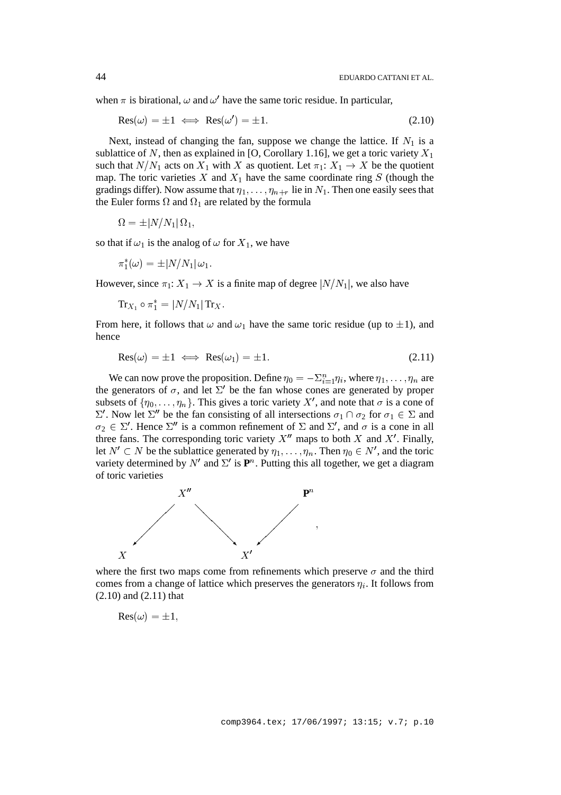when  $\pi$  is birational,  $\omega$  and  $\omega'$  have the same toric residue. In particular,

$$
Res(\omega) = \pm 1 \iff Res(\omega') = \pm 1. \tag{2.10}
$$

Next, instead of changing the fan, suppose we change the lattice. If  $N_1$  is a sublattice of N, then as explained in [O, Corollary 1.16], we get a toric variety  $X_1$ such that  $N/N_1$  acts on  $X_1$  with X as quotient. Let  $\pi_1: X_1 \to X$  be the quotient map. The toric varieties X and  $X_1$  have the same coordinate ring S (though the gradings differ). Now assume that  $\eta_1,\ldots,\eta_{n+r}$  lie in  $N_1$ . Then one easily sees that the Euler forms  $\Omega$  and  $\Omega_1$  are related by the formula

$$
\Omega = \pm |N/N_1| \,\Omega_1,
$$

so that if  $\omega_1$  is the analog of  $\omega$  for  $X_1$ , we have

$$
\pi_1^*(\omega) = \pm |N/N_1| \, \omega_1.
$$

However, since  $\pi_1: X_1 \to X$  is a finite map of degree  $|N/N_1|$ , we also have

$$
\operatorname{Tr}_{X_1}\circ \pi_1^*=|N/N_1| \operatorname{Tr}_X.
$$

From here, it follows that  $\omega$  and  $\omega_1$  have the same toric residue (up to  $\pm 1$ ), and hence

$$
Res(\omega) = \pm 1 \iff Res(\omega_1) = \pm 1. \tag{2.11}
$$

We can now prove the proposition. Define  $\eta_0 = -\sum_{i=1}^n \eta_i$ , where  $\eta_1, \dots, \eta_n$  are the generators of  $\sigma$ , and let  $\Sigma'$  be the fan whose cones are generated by proper subsets of  $\{\eta_0, \ldots, \eta_n\}$ . This gives a toric variety X', and note that  $\sigma$  is a cone of  $\Sigma'$ . Now let  $\Sigma''$  be the fan consisting of all intersections  $\sigma_1 \cap \sigma_2$  for  $\sigma_1 \in \Sigma$  and  $\sigma_2 \in \Sigma'$ . Hence  $\Sigma''$  is a common refinement of  $\Sigma$  and  $\Sigma'$ , and  $\sigma$  is a cone in all three fans. The corresponding toric variety  $X''$  maps to both X and X'. Finally, let  $N' \subset N$  be the sublattice generated by  $\eta_1, \ldots, \eta_n$ . Then  $\eta_0 \in N'$ , and the toric variety determined by  $N'$  and  $\Sigma'$  is  $\mathbf{P}^n$ . Putting this all together, we get a diagram of toric varieties



where the first two maps come from refinements which preserve  $\sigma$  and the third comes from a change of lattice which preserves the generators  $\eta_i$ . It follows from (2.10) and (2.11) that

$$
\text{Res}(\omega) = \pm 1,
$$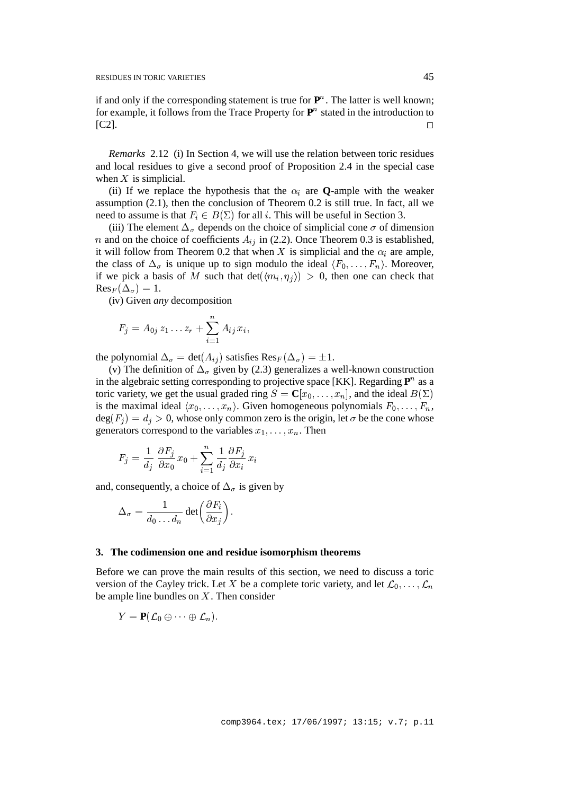if and only if the corresponding statement is true for  $\mathbf{P}^n$ . The latter is well known; for example, it follows from the Trace Property for  $\mathbf{P}^n$  stated in the introduction to  $[C2]$ .

*Remarks* 2.12 (i) In Section 4, we will use the relation between toric residues and local residues to give a second proof of Proposition 2.4 in the special case when  $X$  is simplicial.

(ii) If we replace the hypothesis that the  $\alpha_i$  are **Q**-ample with the weaker assumption (2.1), then the conclusion of Theorem 0.2 is still true. In fact, all we need to assume is that  $F_i \in B(\Sigma)$  for all i. This will be useful in Section 3.

(iii) The element  $\Delta_{\sigma}$  depends on the choice of simplicial cone  $\sigma$  of dimension n and on the choice of coefficients  $A_{ij}$  in (2.2). Once Theorem 0.3 is established, it will follow from Theorem 0.2 that when X is simplicial and the  $\alpha_i$  are ample, the class of  $\Delta_{\sigma}$  is unique up to sign modulo the ideal  $\langle F_0, \ldots, F_n \rangle$ . Moreover, if we pick a basis of M such that  $det(\langle m_i, \eta_i \rangle) > 0$ , then one can check that  $\text{Res}_F (\Delta_\sigma) = 1.$ 

(iv) Given *any* decomposition

$$
F_j = A_{0j} z_1 \dots z_r + \sum_{i=1}^n A_{ij} x_i,
$$

the polynomial  $\Delta_{\sigma} = \det(A_{ij})$  satisfies  $\text{Res}_F(\Delta_{\sigma}) = \pm 1$ .

(v) The definition of  $\Delta_{\sigma}$  given by (2.3) generalizes a well-known construction in the algebraic setting corresponding to projective space [KK]. Regarding  $\mathbf{P}^n$  as a toric variety, we get the usual graded ring  $S = \mathbf{C}[x_0, \dots, x_n]$ , and the ideal  $B(\Sigma)$ is the maximal ideal  $\langle x_0, \ldots, x_n \rangle$ . Given homogeneous polynomials  $F_0, \ldots, F_n$ ,  $deg(F_i) = d_i > 0$ , whose only common zero is the origin, let  $\sigma$  be the cone whose generators correspond to the variables  $x_1, \ldots, x_n$ . Then

$$
F_j = \frac{1}{d_j} \frac{\partial F_j}{\partial x_0} x_0 + \sum_{i=1}^n \frac{1}{d_j} \frac{\partial F_j}{\partial x_i} x_i
$$

and, consequently, a choice of  $\Delta_{\sigma}$  is given by

$$
\Delta_{\,\sigma}=\frac{1}{d_0\ldots d_n}\det\biggl(\frac{\partial F_i}{\partial x_j}\biggr).
$$

#### **3. The codimension one and residue isomorphism theorems**

Before we can prove the main results of this section, we need to discuss a toric version of the Cayley trick. Let X be a complete toric variety, and let  $\mathcal{L}_0$ , ...,  $\mathcal{L}_n$ be ample line bundles on  $X$ . Then consider

$$
Y=\mathbf{P}(\mathcal{L}_0\oplus\cdots\oplus\mathcal{L}_n).
$$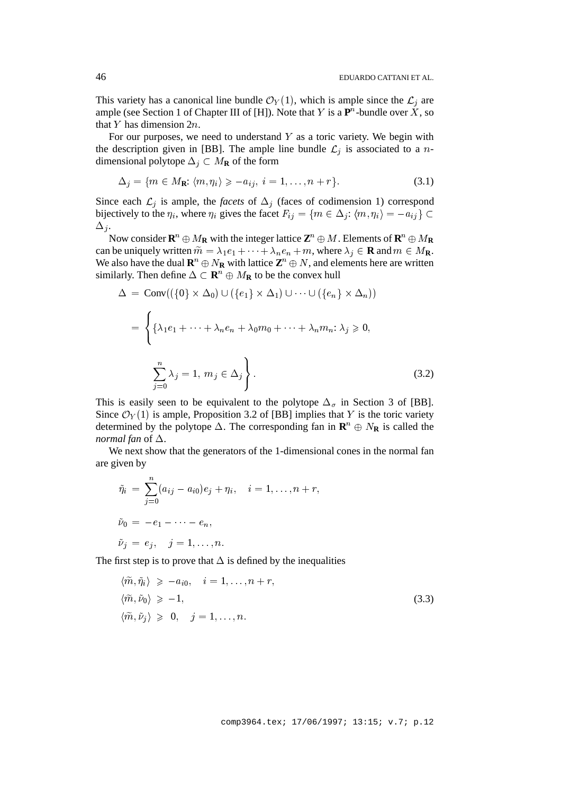This variety has a canonical line bundle  $\mathcal{O}_Y(1)$ , which is ample since the  $\mathcal{L}_i$  are ample (see Section 1 of Chapter III of [H]). Note that Y is a  $\mathbf{P}^n$ -bundle over X, so that Y has dimension  $2n$ .

For our purposes, we need to understand  $Y$  as a toric variety. We begin with the description given in [BB]. The ample line bundle  $\mathcal{L}_i$  is associated to a ndimensional polytope  $\Delta_i \subset M_{\mathbf{R}}$  of the form

$$
\Delta_j = \{ m \in M_{\mathbf{R}} : \langle m, \eta_i \rangle \geqslant -a_{ij}, \ i = 1, \dots, n + r \}. \tag{3.1}
$$

Since each  $\mathcal{L}_i$  is ample, the *facets* of  $\Delta_i$  (faces of codimension 1) correspond bijectively to the  $\eta_i$ , where  $\eta_i$  gives the facet  $F_{ij} = \{m \in \Delta_j : \langle m, \eta_i \rangle = -a_{ij}\} \subset$  $\Delta_i$ .

Now consider  $\mathbf{R}^n \oplus M_\mathbf{R}$  with the integer lattice  $\mathbf{Z}^n \oplus M$ . Elements of  $\mathbf{R}^n \oplus M_\mathbf{R}$ can be uniquely written  $\tilde{m} = \lambda_1 e_1 + \cdots + \lambda_n e_n + m$ , where  $\lambda_i \in \mathbf{R}$  and  $m \in M_{\mathbf{R}}$ . We also have the dual  $\mathbf{R}^n \oplus N_\mathbf{R}$  with lattice  $\mathbf{Z}^n \oplus N$ , and elements here are written similarly. Then define  $\Delta \subset \mathbf{R}^n \oplus M_{\mathbf{R}}$  to be the convex hull

$$
\Delta = \text{Conv}((\{0\} \times \Delta_0) \cup (\{e_1\} \times \Delta_1) \cup \cdots \cup (\{e_n\} \times \Delta_n))
$$
  
= 
$$
\left\{ \{\lambda_1 e_1 + \cdots + \lambda_n e_n + \lambda_0 m_0 + \cdots + \lambda_n m_n : \lambda_j \geq 0, \sum_{j=0}^n \lambda_j = 1, m_j \in \Delta_j \right\}.
$$
 (3.2)

This is easily seen to be equivalent to the polytope  $\Delta_{\sigma}$  in Section 3 of [BB]. Since  $\mathcal{O}_Y(1)$  is ample, Proposition 3.2 of [BB] implies that Y is the toric variety determined by the polytope  $\Delta$ . The corresponding fan in  $\mathbf{R}^n \oplus N_{\mathbf{R}}$  is called the *normal fan* of  $\Delta$ .

We next show that the generators of the 1-dimensional cones in the normal fan are given by

$$
\tilde{\eta}_i = \sum_{j=0}^n (a_{ij} - a_{i0})e_j + \eta_i, \quad i = 1, \dots, n + r,
$$
  
\n
$$
\tilde{\nu}_0 = -e_1 - \dots - e_n,
$$
  
\n
$$
\tilde{\nu}_j = e_j, \quad j = 1, \dots, n.
$$

The first step is to prove that  $\Delta$  is defined by the inequalities

$$
\langle \widetilde{m}, \widetilde{\eta}_i \rangle \geq -a_{i0}, \quad i = 1, \dots, n+r,
$$
  

$$
\langle \widetilde{m}, \widetilde{\nu}_0 \rangle \geq -1,
$$
  

$$
\langle \widetilde{m}, \widetilde{\nu}_j \rangle \geq 0, \quad j = 1, \dots, n.
$$
  
(3.3)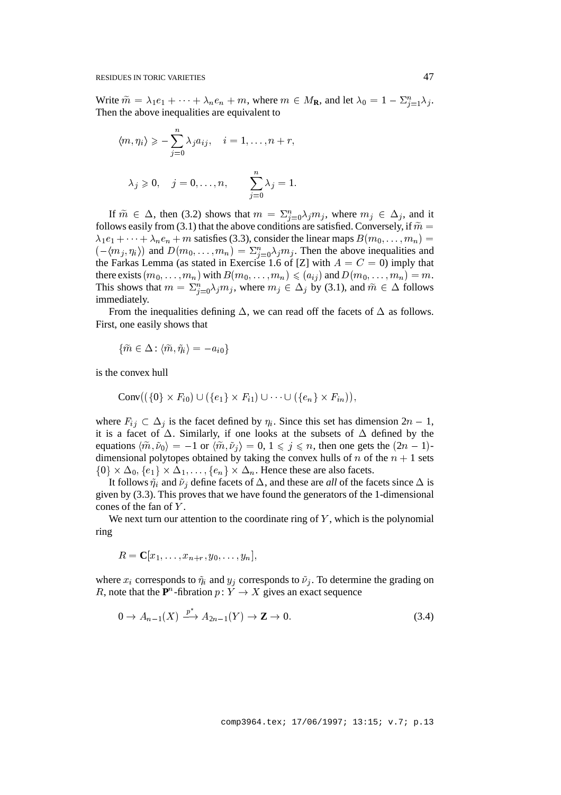Write  $\tilde{m} = \lambda_1 e_1 + \dots + \lambda_n e_n + m$ , where  $m \in M_{\mathbf{R}}$ , and let  $\lambda_0 = 1 - \sum_{j=1}^n \lambda_j$ . Then the above inequalities are equivalent to

$$
\langle m, \eta_i \rangle \geqslant -\sum_{j=0}^n \lambda_j a_{ij}, \quad i = 1, \dots, n+r,
$$
  

$$
\lambda_j \geqslant 0, \quad j = 0, \dots, n, \qquad \sum_{j=0}^n \lambda_j = 1.
$$

If  $\tilde{m} \in \Delta$ , then (3.2) shows that  $m = \sum_{j=0}^n \lambda_j m_j$ , where  $m_j \in \Delta_j$ , and it follows easily from (3.1) that the above conditions are satisfied. Conversely, if  $\tilde{m} =$  $\lambda_1e_1 + \cdots + \lambda_ne_n + m$  satisfies (3.3), consider the linear maps  $B(m_0,\ldots,m_n)$  =  $h(-\langle m_j, \eta_i \rangle)$  and  $D(m_0, \ldots, m_n) = \sum_{j=0}^n \lambda_j m_j$ . Then the above inequalities and the Farkas Lemma (as stated in Exercise 1.6 of [Z] with  $A = C = 0$ ) imply that there exists  $(m_0,\ldots,m_n)$  with  $B(m_0,\ldots,m_n) \leqslant (a_{ij})$  and  $D(m_0,\ldots,m_n)=m$ . This shows that  $m = \sum_{j=0}^{n} \lambda_j m_j$ , where  $m_j \in \Delta_j$  by (3.1), and  $\tilde{m} \in \Delta$  follows immediately.

From the inequalities defining  $\Delta$ , we can read off the facets of  $\Delta$  as follows. First, one easily shows that

$$
\{\widetilde{m} \in \Delta\colon \langle \widetilde{m}, \tilde{\eta}_i \rangle = -a_{i0}\}
$$

is the convex hull

$$
\operatorname{Conv}((\{0\}\times F_{i0})\cup (\{e_1\}\times F_{i1})\cup \cdots \cup (\{e_n\}\times F_{in})),
$$

where  $F_{ij} \subset \Delta_j$  is the facet defined by  $\eta_i$ . Since this set has dimension  $2n - 1$ , it is a facet of  $\Delta$ . Similarly, if one looks at the subsets of  $\Delta$  defined by the equations  $\langle \tilde{m}, \tilde{v}_0 \rangle = -1$  or  $\langle \tilde{m}, \tilde{v}_j \rangle = 0, 1 \leq j \leq n$ , then one gets the  $(2n - 1)$ dimensional polytopes obtained by taking the convex hulls of n of the  $n + 1$  sets  $\{0\} \times \Delta_0, \{e_1\} \times \Delta_1, \ldots, \{e_n\} \times \Delta_n$ . Hence these are also facets.

It follows  $\tilde{\eta}_i$  and  $\tilde{\nu}_j$  define facets of  $\Delta$ , and these are *all* of the facets since  $\Delta$  is given by (3.3). This proves that we have found the generators of the 1-dimensional cones of the fan of Y .

We next turn our attention to the coordinate ring of  $Y$ , which is the polynomial ring

$$
R=\mathbf{C}[x_1,\ldots,x_{n+r},y_0,\ldots,y_n],
$$

where  $x_i$  corresponds to  $\tilde{\eta}_i$  and  $y_j$  corresponds to  $\tilde{\nu}_j$ . To determine the grading on R, note that the  $P^n$ -fibration  $p: Y \to X$  gives an exact sequence

$$
0 \to A_{n-1}(X) \xrightarrow{p^*} A_{2n-1}(Y) \to \mathbf{Z} \to 0. \tag{3.4}
$$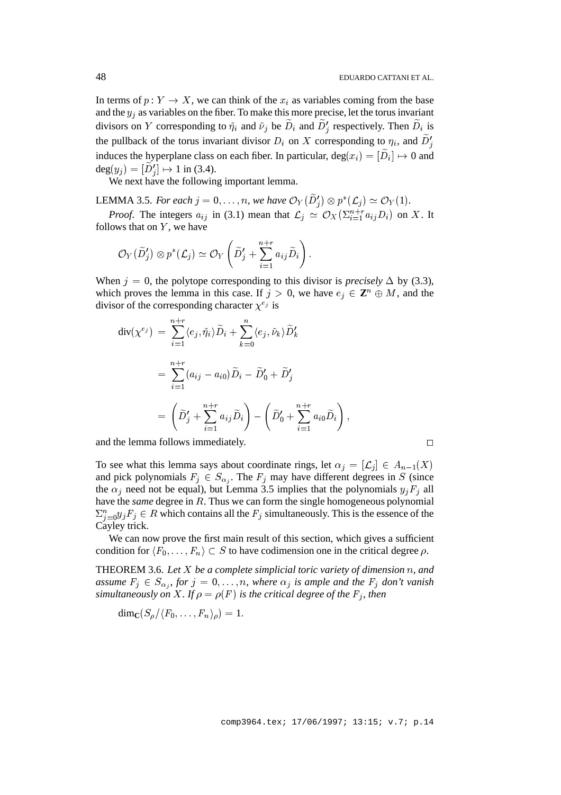In terms of  $p: Y \to X$ , we can think of the  $x_i$  as variables coming from the base and the  $y_i$  as variables on the fiber. To make this more precise, let the torus invariant divisors on Y corresponding to  $\tilde{\eta}_i$  and  $\tilde{\nu}_j$  be  $D_i$  and  $D'_j$  respectively. Then  $D_i$  is the pullback of the torus invariant divisor  $D_i$  on X corresponding to  $\eta_i$ , and  $\tilde{D}'_i$ induces the hyperplane class on each fiber. In particular,  $deg(x_i) = [D_i] \mapsto 0$  and  $deg(y_j) = [D'_j] \mapsto 1$  in (3.4).

We next have the following important lemma.

LEMMA 3.5. *For each*  $j = 0, \ldots, n$ , we have  $\mathcal{O}_Y(D'_j) \otimes p^*(\mathcal{L}_j) \simeq \mathcal{O}_Y(1)$ .

*Proof.* The integers  $a_{ij}$  in (3.1) mean that  $\mathcal{L}_j \simeq \mathcal{O}_X(\sum_{i=1}^{n+r} a_{ij} D_i)$  on X. It follows that on  $Y$ , we have

$$
\mathcal{O}_Y(\widetilde{D}'_j) \otimes p^*(\mathcal{L}_j) \simeq \mathcal{O}_Y\left(\widetilde{D}'_j + \sum_{i=1}^{n+r} a_{ij} \widetilde{D}_i\right).
$$

When  $j = 0$ , the polytope corresponding to this divisor is *precisely*  $\Delta$  by (3.3), which proves the lemma in this case. If  $j > 0$ , we have  $e_j \in \mathbb{Z}^n \oplus M$ , and the divisor of the corresponding character  $\chi^{e_j}$  is

$$
\begin{split} \operatorname{div}(\chi^{e_j}) \ &= \ \sum_{i=1}^{n+r} \langle e_j, \tilde{\eta}_i \rangle \widetilde{D}_i + \sum_{k=0}^n \langle e_j, \tilde{\nu}_k \rangle \widetilde{D}'_k \\ &= \ \sum_{i=1}^{n+r} (a_{ij} - a_{i0}) \widetilde{D}_i - \widetilde{D}'_0 + \widetilde{D}'_j \\ &= \ \left( \widetilde{D}'_j + \sum_{i=1}^{n+r} a_{ij} \widetilde{D}_i \right) - \left( \widetilde{D}'_0 + \sum_{i=1}^{n+r} a_{i0} \widetilde{D}_i \right), \end{split}
$$

and the lemma follows immediately.

To see what this lemma says about coordinate rings, let  $\alpha_j = [\mathcal{L}_j] \in A_{n-1}(X)$ and pick polynomials  $F_j \in S_{\alpha_j}$ . The  $F_j$  may have different degrees in S (since the  $\alpha_j$  need not be equal), but Lemma 3.5 implies that the polynomials  $y_jF_j$  all have the *same* degree in R. Thus we can form the single homogeneous polynomial  $\sum_{j=0}^{n} y_j F_j \in R$  which contains all the  $F_j$  simultaneously. This is the essence of the Cayley trick.

We can now prove the first main result of this section, which gives a sufficient condition for  $\langle F_0, \ldots, F_n \rangle \subset S$  to have codimension one in the critical degree  $\rho$ .

THEOREM 3.6. *Let* <sup>X</sup> *be a complete simplicial toric variety of dimension* <sup>n</sup>*, and assume*  $F_j \in S_{\alpha_j}$ , for  $j = 0, \ldots, n$ , where  $\alpha_j$  *is ample and the*  $F_j$  *don't vanish simultaneously on* X. If  $\rho = \rho(F)$  *is the critical degree of the*  $F_i$ *, then* 

$$
\dim_{\bold C}(S_\rho/\langle F_0,\dots,F_n\rangle_\rho)=1.
$$

$$
\Box
$$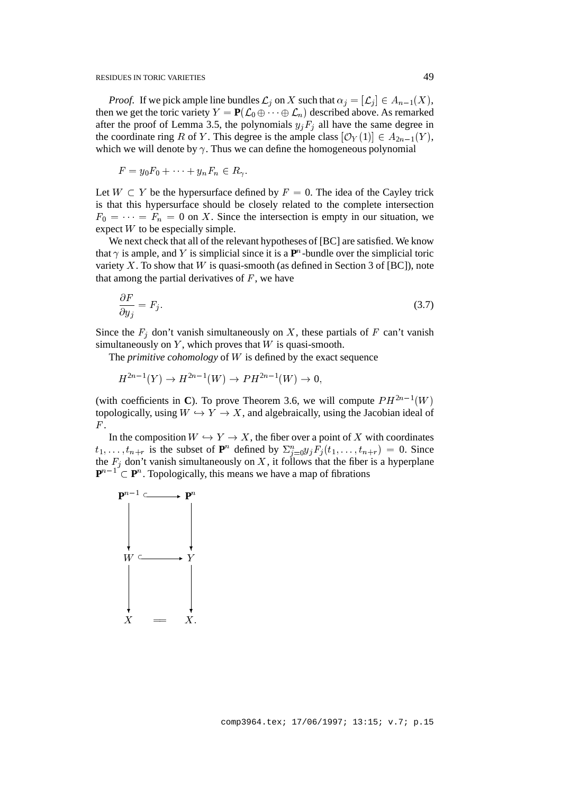*Proof.* If we pick ample line bundles  $\mathcal{L}_i$  on X such that  $\alpha_i = [\mathcal{L}_i] \in A_{n-1}(X)$ , then we get the toric variety  $Y = P(\mathcal{L}_0 \oplus \cdots \oplus \mathcal{L}_n)$  described above. As remarked after the proof of Lemma 3.5, the polynomials  $y_jF_j$  all have the same degree in the coordinate ring R of Y. This degree is the ample class  $[O_Y(1)] \in A_{2n-1}(Y)$ , which we will denote by  $\gamma$ . Thus we can define the homogeneous polynomial

$$
F = y_0 F_0 + \dots + y_n F_n \in R_{\gamma}.
$$

Let  $W \subset Y$  be the hypersurface defined by  $F = 0$ . The idea of the Cayley trick is that this hypersurface should be closely related to the complete intersection  $F_0 = \cdots = F_n = 0$  on X. Since the intersection is empty in our situation, we expect  $W$  to be especially simple.

We next check that all of the relevant hypotheses of [BC] are satisfied. We know that  $\gamma$  is ample, and Y is simplicial since it is a  $\mathbf{P}^n$ -bundle over the simplicial toric variety  $X$ . To show that  $W$  is quasi-smooth (as defined in Section 3 of [BC]), note that among the partial derivatives of  $F$ , we have

$$
\frac{\partial F}{\partial y_j} = F_j. \tag{3.7}
$$

Since the  $F_i$  don't vanish simultaneously on X, these partials of F can't vanish simultaneously on  $Y$ , which proves that  $W$  is quasi-smooth.

The *primitive cohomology* of W is defined by the exact sequence

$$
H^{2n-1}(Y) \to H^{2n-1}(W) \to PH^{2n-1}(W) \to 0,
$$

(with coefficients in **C**). To prove Theorem 3.6, we will compute  $PH^{2n-1}(W)$ topologically, using  $W \hookrightarrow Y \rightarrow X$ , and algebraically, using the Jacobian ideal of  $F$ .

In the composition  $W \hookrightarrow Y \to X$ , the fiber over a point of X with coordinates  $t_1,\ldots,t_{n+r}$  is the subset of  $\mathbf{P}^n$  defined by  $\sum_{j=0}^n y_j F_j(t_1,\ldots,t_{n+r}) = 0$ . Since the  $F_i$  don't vanish simultaneously on X, it follows that the fiber is a hyperplane  $\mathbf{P}^{n-1} \subset \mathbf{P}^n$ . Topologically, this means we have a map of fibrations

$$
\begin{array}{ccc}\n\mathbf{P}^{n-1} & \longrightarrow & \mathbf{P}^n \\
\downarrow & & \downarrow \\
W & & \downarrow \\
\downarrow & & \downarrow \\
X & = & X.\n\end{array}
$$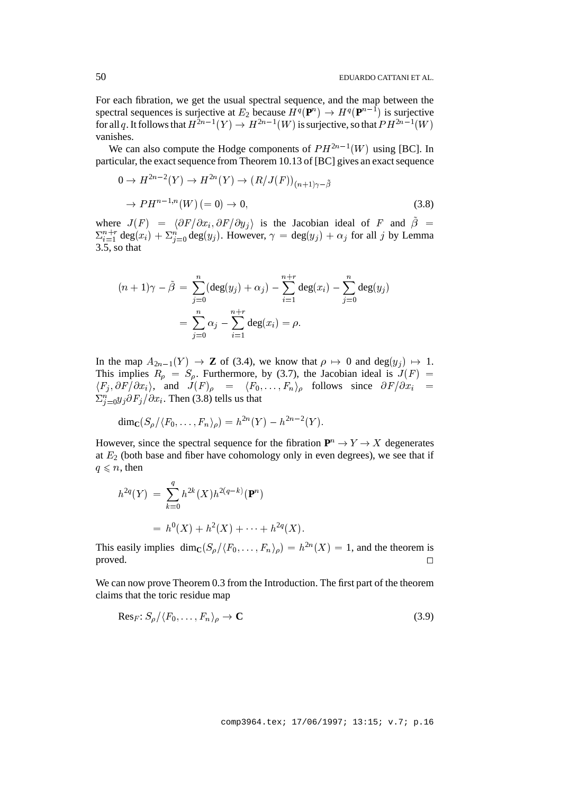For each fibration, we get the usual spectral sequence, and the map between the spectral sequences is surjective at  $E_2$  because  $H^q(\mathbf{P}^n) \to H^q(\mathbf{P}^{n-1})$  is surjective for all q. It follows that  $H^{2n-1}(Y) \to H^{2n-1}(W)$  is surjective, so that  $PH^{2n-1}(W)$ vanishes.

We can also compute the Hodge components of  $PH^{2n-1}(W)$  using [BC]. In particular, the exact sequence from Theorem 10.13 of [BC] gives an exact sequence

$$
0 \to H^{2n-2}(Y) \to H^{2n}(Y) \to (R/J(F))_{(n+1)\gamma - \tilde{\beta}}
$$
  

$$
\to PH^{n-1,n}(W) (= 0) \to 0,
$$
 (3.8)

where  $J(F) = \langle \partial F / \partial x_i , \partial F / \partial y_j \rangle$  is the Jacobian ideal of F and  $\tilde{\beta}$  =  $\sum_{i=1}^{n+r} \deg(x_i) + \sum_{j=0}^{n} \deg(y_j)$ . However,  $\gamma = \deg(y_j) + \alpha_j$  for all j by Lemma 3.5, so that

$$
(n+1)\gamma - \tilde{\beta} = \sum_{j=0}^{n} (\deg(y_j) + \alpha_j) - \sum_{i=1}^{n+r} \deg(x_i) - \sum_{j=0}^{n} \deg(y_j)
$$

$$
= \sum_{j=0}^{n} \alpha_j - \sum_{i=1}^{n+r} \deg(x_i) = \rho.
$$

In the map  $A_{2n-1}(Y) \to \mathbb{Z}$  of (3.4), we know that  $\rho \mapsto 0$  and deg( $y_i$ )  $\mapsto 1$ . This implies  $R_0 = S_0$ . Furthermore, by (3.7), the Jacobian ideal is  $J(F) =$  $\langle F_j, \partial F/\partial x_i \rangle$ , and  $J(F)_{\rho} = \langle F_0, \ldots, F_n \rangle_{\rho}$  follows since  $\partial F/\partial x_i =$  $\sum_{j=0}^{n} y_j \partial F_j / \partial x_i$ . Then (3.8) tells us that

$$
\dim_{\mathbf{C}}(S_{\rho}/\langle F_0,\ldots,F_n\rangle_{\rho})=h^{2n}(Y)-h^{2n-2}(Y).
$$

However, since the spectral sequence for the fibration  $P^n \to Y \to X$  degenerates at  $E_2$  (both base and fiber have cohomology only in even degrees), we see that if  $q \leq n$ , then

$$
h^{2q}(Y) = \sum_{k=0}^{q} h^{2k}(X)h^{2(q-k)}(\mathbf{P}^{n})
$$
  
=  $h^{0}(X) + h^{2}(X) + \cdots + h^{2q}(X).$ 

This easily implies  $\dim_{\mathbb{C}}(S_{\rho}/\langle F_0,\ldots,F_n\rangle_{\rho})=h^{2n}(X)=1$ , and the theorem is  $\Box$ 

We can now prove Theorem 0.3 from the Introduction. The first part of the theorem claims that the toric residue map

$$
\text{Res}_F: S_\rho / \langle F_0, \dots, F_n \rangle_\rho \to \mathbf{C}
$$
\n(3.9)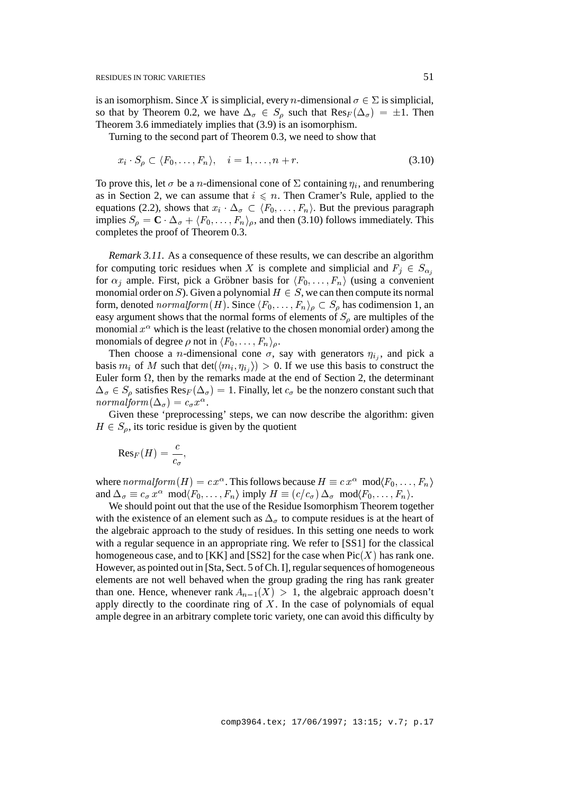is an isomorphism. Since X is simplicial, every *n*-dimensional  $\sigma \in \Sigma$  is simplicial, so that by Theorem 0.2, we have  $\Delta_{\sigma} \in S_0$  such that  $\text{Res}_F(\Delta_{\sigma}) = \pm 1$ . Then Theorem 3.6 immediately implies that (3.9) is an isomorphism.

Turning to the second part of Theorem 0.3, we need to show that

$$
x_i \cdot S_\rho \subset \langle F_0, \dots, F_n \rangle, \quad i = 1, \dots, n + r. \tag{3.10}
$$

To prove this, let  $\sigma$  be a *n*-dimensional cone of  $\Sigma$  containing  $\eta_i$ , and renumbering as in Section 2, we can assume that  $i \leq n$ . Then Cramer's Rule, applied to the equations (2.2), shows that  $x_i \cdot \Delta_{\sigma} \subset \langle F_0, \ldots, F_n \rangle$ . But the previous paragraph implies  $S_{\rho} = \mathbf{C} \cdot \Delta_{\sigma} + \langle F_0, \ldots, F_n \rangle_{\rho}$ , and then (3.10) follows immediately. This completes the proof of Theorem 0.3.

*Remark 3.11.* As a consequence of these results, we can describe an algorithm for computing toric residues when X is complete and simplicial and  $F_i \in S_{\alpha_i}$ for  $\alpha_i$  ample. First, pick a Gröbner basis for  $\langle F_0, \ldots, F_n \rangle$  (using a convenient monomial order on S). Given a polynomial  $H \in S$ , we can then compute its normal form, denoted normalform  $(H)$ . Since  $\langle F_0, \ldots, F_n \rangle$   $\subset S$  has codimension 1, an easy argument shows that the normal forms of elements of  $S_\theta$  are multiples of the monomial  $x^{\alpha}$  which is the least (relative to the chosen monomial order) among the monomials of degree  $\rho$  not in  $\langle F_0, \ldots, F_n \rangle$ .

Then choose a *n*-dimensional cone  $\sigma$ , say with generators  $\eta_{i,j}$ , and pick a basis  $m_i$  of M such that  $\det(m_i, \eta_{i_j}) > 0$ . If we use this basis to construct the Euler form  $\Omega$ , then by the remarks made at the end of Section 2, the determinant  $\Delta_{\sigma} \in S_\rho$  satisfies  $\text{Res}_F(\Delta_{\sigma}) = 1$ . Finally, let  $c_{\sigma}$  be the nonzero constant such that  $normalform (\Delta_{\sigma}) = c_{\sigma} x^{\alpha}.$ 

Given these 'preprocessing' steps, we can now describe the algorithm: given  $H \in S_{\rho}$ , its toric residue is given by the quotient

$$
\mathrm{Res}_F(H) = \frac{c}{c_{\sigma}},
$$

where  $\mathit{normalform}\,(H)=c\,x^\alpha.$  This follows because  $H\equiv c\,x^\alpha\;\;{\rm mod}\langle F_0,\ldots,F_n\rangle$ and  $\Delta_{\sigma} \equiv c_{\sigma} x^{\alpha} \mod F_0, \ldots, F_n$  imply  $H \equiv (c/c_{\sigma}) \Delta_{\sigma} \mod F_0, \ldots, F_n$ .

We should point out that the use of the Residue Isomorphism Theorem together with the existence of an element such as  $\Delta_{\sigma}$  to compute residues is at the heart of the algebraic approach to the study of residues. In this setting one needs to work with a regular sequence in an appropriate ring. We refer to [SS1] for the classical homogeneous case, and to [KK] and [SS2] for the case when  $Pic(X)$  has rank one. However, as pointed out in [Sta, Sect. 5 of Ch. I], regular sequences of homogeneous elements are not well behaved when the group grading the ring has rank greater than one. Hence, whenever rank  $A_{n-1}(X) > 1$ , the algebraic approach doesn't apply directly to the coordinate ring of  $X$ . In the case of polynomials of equal ample degree in an arbitrary complete toric variety, one can avoid this difficulty by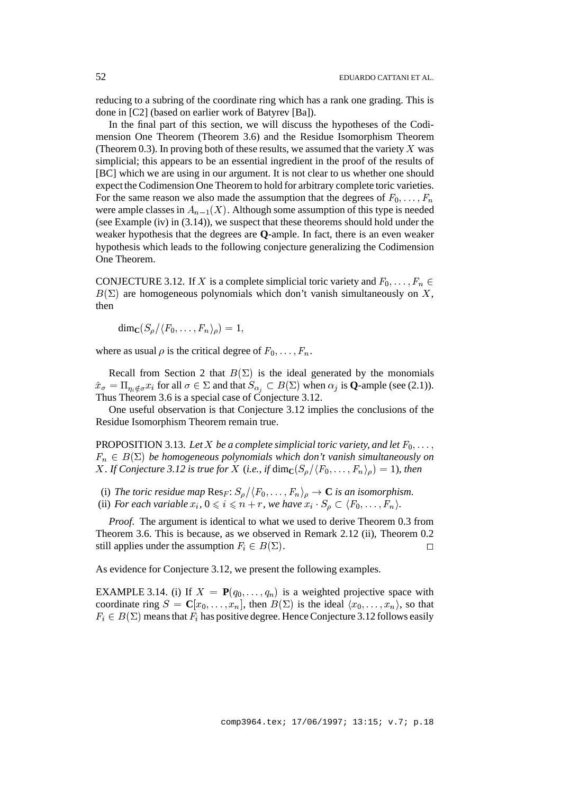reducing to a subring of the coordinate ring which has a rank one grading. This is done in [C2] (based on earlier work of Batyrev [Ba]).

In the final part of this section, we will discuss the hypotheses of the Codimension One Theorem (Theorem 3.6) and the Residue Isomorphism Theorem (Theorem 0.3). In proving both of these results, we assumed that the variety  $X$  was simplicial; this appears to be an essential ingredient in the proof of the results of [BC] which we are using in our argument. It is not clear to us whether one should expect the Codimension One Theorem to hold for arbitrary complete toric varieties. For the same reason we also made the assumption that the degrees of  $F_0, \ldots, F_n$ were ample classes in  $A_{n-1}(X)$ . Although some assumption of this type is needed (see Example (iv) in (3.14)), we suspect that these theorems should hold under the weaker hypothesis that the degrees are **Q**-ample. In fact, there is an even weaker hypothesis which leads to the following conjecture generalizing the Codimension One Theorem.

CONJECTURE 3.12. If X is a complete simplicial toric variety and  $F_0, \ldots, F_n \in$  $B(\Sigma)$  are homogeneous polynomials which don't vanish simultaneously on X, then

 $\dim_{\mathbb{C}}(S_{\rho}/\langle F_0,\ldots,F_n\rangle_{\rho})=1,$ 

where as usual  $\rho$  is the critical degree of  $F_0$ , ...,  $F_n$ .

Recall from Section 2 that  $B(\Sigma)$  is the ideal generated by the monomials  $\hat{x}_{\sigma} = \prod_{\eta_i \notin \sigma} x_i$  for all  $\sigma \in \Sigma$  and that  $S_{\alpha_i} \subset B(\Sigma)$  when  $\alpha_j$  is **Q**-ample (see (2.1)). Thus Theorem 3.6 is a special case of Conjecture 3.12.

One useful observation is that Conjecture 3.12 implies the conclusions of the Residue Isomorphism Theorem remain true.

PROPOSITION 3.13. Let X be a complete simplicial toric variety, and let  $F_0, \ldots$ ,  $F_n \in B(\Sigma)$  be homogeneous polynomials which don't vanish simultaneously on *X. If Conjecture 3.12 is true for X* (*i.e., if* dim<sub>**C**</sub>( $S_\rho/\langle F_0, \ldots, F_n \rangle_\rho$ ) = 1)*, then* 

- (i) The toric residue map  $\text{Res}_F: S_\rho/\langle F_0,\ldots,F_n\rangle_\rho \to \mathbb{C}$  *is an isomorphism.*
- (ii) *For each variable*  $x_i$ ,  $0 \leq i \leq n + r$ *, we have*  $x_i \cdot S_\rho \subset \langle F_0, \ldots, F_n \rangle$ *.*

*Proof*. The argument is identical to what we used to derive Theorem 0.3 from Theorem 3.6. This is because, as we observed in Remark 2.12 (ii), Theorem 0.2 still applies under the assumption  $F_i \in B(\Sigma)$ .

As evidence for Conjecture 3.12, we present the following examples.

EXAMPLE 3.14. (i) If  $X = P(q_0, \ldots, q_n)$  is a weighted projective space with coordinate ring  $S = \mathbb{C}[x_0, \ldots, x_n]$ , then  $B(\Sigma)$  is the ideal  $\langle x_0, \ldots, x_n \rangle$ , so that  $F_i \in B(\Sigma)$  means that  $F_i$  has positive degree. Hence Conjecture 3.12 follows easily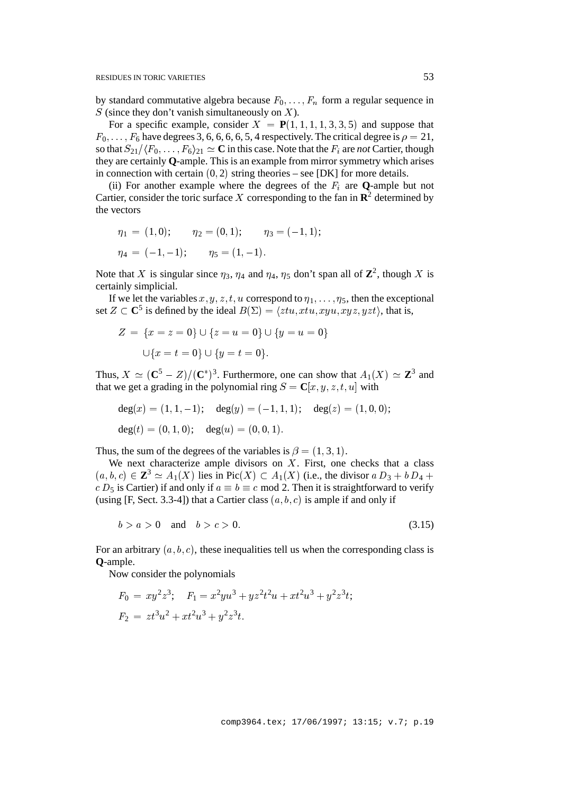by standard commutative algebra because  $F_0, \ldots, F_n$  form a regular sequence in  $S$  (since they don't vanish simultaneously on  $X$ ).

For a specific example, consider  $X = P(1, 1, 1, 1, 3, 3, 5)$  and suppose that  $F_0$ ::::;F<sub>6</sub> have degrees 3, 6, 6, 6, 6, 5, 4 respectively. The critical degree is  $\rho = 21$ , so that  $S_{21}/\langle F_0, \ldots, F_6\rangle_{21} \simeq \mathbf{C}$  in this case. Note that the  $F_i$  are *not* Cartier, though they are certainly **Q**-ample. This is an example from mirror symmetry which arises in connection with certain  $(0, 2)$  string theories – see [DK] for more details.

(ii) For another example where the degrees of the  $F_i$  are **Q**-ample but not Cartier, consider the toric surface X corresponding to the fan in  $\mathbb{R}^2$  determined by the vectors

$$
\eta_1 = (1, 0); \qquad \eta_2 = (0, 1); \qquad \eta_3 = (-1, 1);
$$
  

$$
\eta_4 = (-1, -1); \qquad \eta_5 = (1, -1).
$$

Note that X is singular since  $\eta_3$ ,  $\eta_4$  and  $\eta_4$ ,  $\eta_5$  don't span all of  $\mathbb{Z}^2$ , though X is certainly simplicial.

If we let the variables x, y, z, t, u correspond to  $\eta_1, \ldots, \eta_5$ , then the exceptional set  $Z \subset \mathbb{C}^5$  is defined by the ideal  $B(\Sigma) = \langle ztu, xtu, xyu, xyz, yzt \rangle$ , that is,

$$
Z = \{x = z = 0\} \cup \{z = u = 0\} \cup \{y = u = 0\}
$$

$$
\cup \{x = t = 0\} \cup \{y = t = 0\}.
$$

Thus,  $X \simeq (\mathbf{C}^5 - Z)/(\mathbf{C}^*)^3$ . Furthermore, one can show that  $A_1(X) \simeq \mathbf{Z}^3$  and that we get a grading in the polynomial ring  $S = \mathbf{C}[x, y, z, t, u]$  with

$$
deg(x) = (1, 1, -1); deg(y) = (-1, 1, 1); deg(z) = (1, 0, 0);
$$
  

$$
deg(t) = (0, 1, 0); deg(u) = (0, 0, 1).
$$

Thus, the sum of the degrees of the variables is  $\beta = (1, 3, 1)$ .

We next characterize ample divisors on  $X$ . First, one checks that a class  $(a, b, c) \in \mathbb{Z}^3 \simeq A_1(X)$  lies in Pic $(X) \subset A_1(X)$  (i.e., the divisor  $a D_3 + b D_4 +$  $c D_5$  is Cartier) if and only if  $a \equiv b \equiv c \mod 2$ . Then it is straightforward to verify (using [F, Sect. 3.3-4]) that a Cartier class  $(a, b, c)$  is ample if and only if

$$
b > a > 0 \quad \text{and} \quad b > c > 0. \tag{3.15}
$$

For an arbitrary  $(a, b, c)$ , these inequalities tell us when the corresponding class is **Q**-ample.

Now consider the polynomials

$$
F_0 = xy^2 z^3; \quad F_1 = x^2 y u^3 + y z^2 t^2 u + x t^2 u^3 + y^2 z^3 t;
$$
  

$$
F_2 = z t^3 u^2 + x t^2 u^3 + y^2 z^3 t.
$$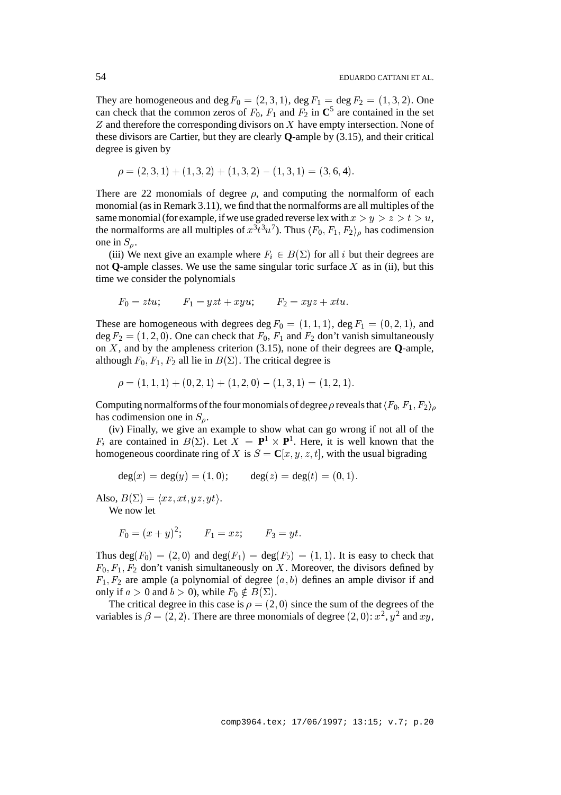They are homogeneous and deg  $F_0 = (2, 3, 1)$ , deg  $F_1 = \deg F_2 = (1, 3, 2)$ . One can check that the common zeros of  $F_0$ ,  $F_1$  and  $F_2$  in  $\mathbb{C}^5$  are contained in the set  $Z$  and therefore the corresponding divisors on  $X$  have empty intersection. None of these divisors are Cartier, but they are clearly **Q**-ample by (3.15), and their critical degree is given by

$$
\rho = (2, 3, 1) + (1, 3, 2) + (1, 3, 2) - (1, 3, 1) = (3, 6, 4).
$$

There are 22 monomials of degree  $\rho$ , and computing the normalform of each monomial (as in Remark 3.11), we find that the normalforms are all multiples of the same monomial (for example, if we use graded reverse lex with  $x>y>z>t>u$ , the normalforms are all multiples of  $x^3t^3u^7$ ). Thus  $\langle F_0, F_1, F_2 \rangle_\rho$  has codimension one in  $S<sub>o</sub>$ .

(iii) We next give an example where  $F_i \in B(\Sigma)$  for all i but their degrees are not **Q**-ample classes. We use the same singular toric surface  $X$  as in (ii), but this time we consider the polynomials

$$
F_0 = ztu; \qquad F_1 = yzt + xyu; \qquad F_2 = xyz + xtu.
$$

These are homogeneous with degrees deg  $F_0 = (1, 1, 1)$ , deg  $F_1 = (0, 2, 1)$ , and deg  $F_2 = (1, 2, 0)$ . One can check that  $F_0$ ,  $F_1$  and  $F_2$  don't vanish simultaneously on X, and by the ampleness criterion (3.15), none of their degrees are **Q**-ample, although  $F_0$ ,  $F_1$ ,  $F_2$  all lie in  $B(\Sigma)$ . The critical degree is

$$
\rho = (1, 1, 1) + (0, 2, 1) + (1, 2, 0) - (1, 3, 1) = (1, 2, 1).
$$

Computing normalforms of the four monomials of degree  $\rho$  reveals that  $\langle F_0, F_1, F_2 \rangle$ has codimension one in  $S_a$ .

(iv) Finally, we give an example to show what can go wrong if not all of the  $F_i$  are contained in  $B(\Sigma)$ . Let  $\overline{X} = \mathbf{P}^1 \times \mathbf{P}^1$ . Here, it is well known that the homogeneous coordinate ring of X is  $S = \mathbb{C}[x, y, z, t]$ , with the usual bigrading

$$
deg(x) = deg(y) = (1, 0);
$$
  $deg(z) = deg(t) = (0, 1).$ 

Also,  $B(\Sigma) = \langle xz, xt, yz, yt \rangle$ .

We now let

$$
F_0 = (x + y)^2;
$$
  $F_1 = xz;$   $F_3 = yt.$ 

Thus deg( $F_0$ ) = (2, 0) and deg( $F_1$ ) = deg( $F_2$ ) = (1, 1). It is easy to check that  $F_0$ ,  $F_1$ ,  $F_2$  don't vanish simultaneously on X. Moreover, the divisors defined by  $F_1, F_2$  are ample (a polynomial of degree  $(a, b)$  defines an ample divisor if and only if  $a > 0$  and  $b > 0$ , while  $F_0 \notin B(\Sigma)$ .

The critical degree in this case is  $\rho = (2, 0)$  since the sum of the degrees of the variables is  $\beta = (2, 2)$ . There are three monomials of degree  $(2, 0)$ :  $x^2$ ,  $y^2$  and  $xy$ ,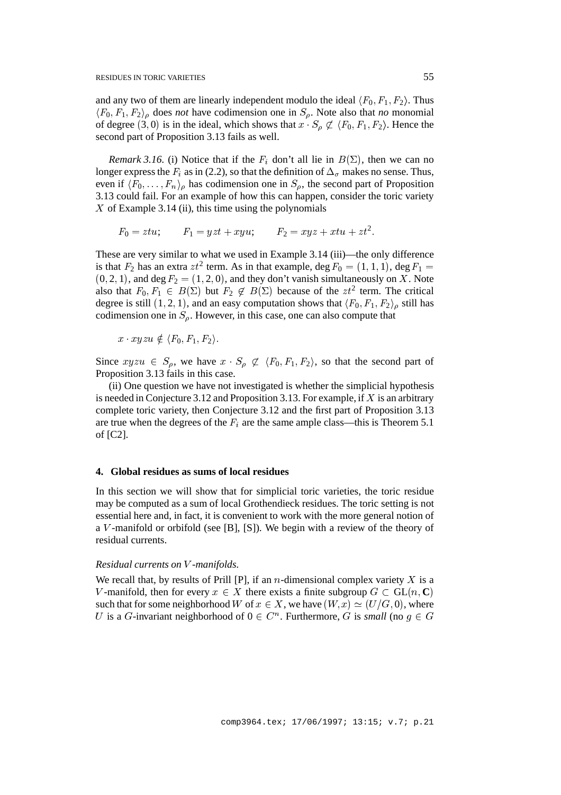and any two of them are linearly independent modulo the ideal  $\langle F_0, F_1, F_2 \rangle$ . Thus  $\langle F_0, F_1, F_2 \rangle$  does *not* have codimension one in  $S_0$ . Note also that *no* monomial of degree (3, 0) is in the ideal, which shows that  $x \cdot S_0 \not\subset \langle F_0, F_1, F_2 \rangle$ . Hence the second part of Proposition 3.13 fails as well.

*Remark 3.16.* (i) Notice that if the  $F_i$  don't all lie in  $B(\Sigma)$ , then we can no longer express the  $F_i$  as in (2.2), so that the definition of  $\Delta_{\sigma}$  makes no sense. Thus, even if  $\langle F_0, \ldots, F_n \rangle_\rho$  has codimension one in  $S_\rho$ , the second part of Proposition 3.13 could fail. For an example of how this can happen, consider the toric variety  $X$  of Example 3.14 (ii), this time using the polynomials

$$
F_0 = ztu; \qquad F_1 = yzt + xyu; \qquad F_2 = xyz + xtu + zt^2.
$$

These are very similar to what we used in Example 3.14 (iii)—the only difference is that  $F_2$  has an extra  $zt^2$  term. As in that example, deg  $F_0 = (1, 1, 1)$ , deg  $F_1 =$  $(0, 2, 1)$ , and deg  $F_2 = (1, 2, 0)$ , and they don't vanish simultaneously on X. Note also that  $F_0, F_1 \in B(\Sigma)$  but  $F_2 \notin B(\Sigma)$  because of the  $zt^2$  term. The critical degree is still  $(1, 2, 1)$ , and an easy computation shows that  $\langle F_0, F_1, F_2 \rangle$  still has codimension one in  $S_\rho$ . However, in this case, one can also compute that

$$
x \cdot xyzu \notin \langle F_0, F_1, F_2 \rangle.
$$

Since  $xyzu \in S_\rho$ , we have  $x \cdot S_\rho \not\subset \langle F_0, F_1, F_2 \rangle$ , so that the second part of Proposition 3.13 fails in this case.

(ii) One question we have not investigated is whether the simplicial hypothesis is needed in Conjecture 3.12 and Proposition 3.13. For example, if  $X$  is an arbitrary complete toric variety, then Conjecture 3.12 and the first part of Proposition 3.13 are true when the degrees of the  $F_i$  are the same ample class—this is Theorem 5.1 of [C2].

### **4. Global residues as sums of local residues**

In this section we will show that for simplicial toric varieties, the toric residue may be computed as a sum of local Grothendieck residues. The toric setting is not essential here and, in fact, it is convenient to work with the more general notion of a V -manifold or orbifold (see [B], [S]). We begin with a review of the theory of residual currents.

## *Residual currents on* V *-manifolds.*

We recall that, by results of Prill [P], if an *n*-dimensional complex variety  $X$  is a V-manifold, then for every  $x \in X$  there exists a finite subgroup  $G \subset GL(n, \mathbb{C})$ such that for some neighborhood W of  $x \in X$ , we have  $(W, x) \simeq (U/G, 0)$ , where U is a G-invariant neighborhood of  $0 \in C^n$ . Furthermore, G is *small* (no  $g \in G$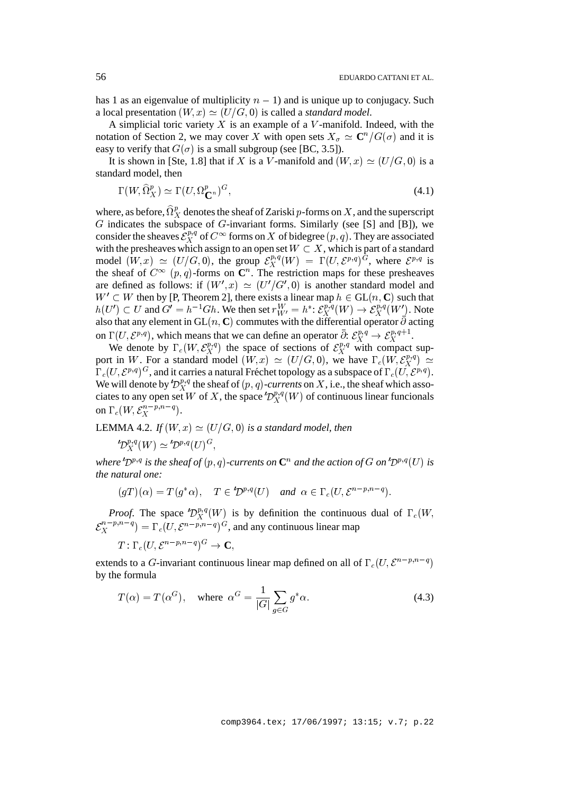has 1 as an eigenvalue of multiplicity  $n - 1$ ) and is unique up to conjugacy. Such a local presentation  $(W, x) \simeq (U/G, 0)$  is called a *standard model*.

A simplicial toric variety  $X$  is an example of a  $V$ -manifold. Indeed, with the notation of Section 2, we may cover X with open sets  $X_{\sigma} \simeq \mathbb{C}^n / G(\sigma)$  and it is easy to verify that  $G(\sigma)$  is a small subgroup (see [BC, 3.5]).

It is shown in [Ste, 1.8] that if X is a V-manifold and  $(W, x) \simeq (U/G, 0)$  is a standard model, then

$$
\Gamma(W, \hat{\Omega}_X^p) \simeq \Gamma(U, \Omega_{\mathbf{C}^n}^p)^G,\tag{4.1}
$$

where, as before,  $\Omega_X^p$  denotes the sheaf of Zariski p-forms on X, and the superscript G indicates the subspace of G-invariant forms. Similarly (see [S] and [B]), we consider the sheaves  $\mathcal{E}_X^{p,q}$  of  $C^{\infty}$  forms on X of bidegree  $(p,q)$ . They are associated with the presheaves which assign to an open set  $W \subset X$ , which is part of a standard model  $(W, x) \simeq (U/G, 0)$ , the group  $\mathcal{E}^{p,q}_X(W)$  =  $\Gamma_X^{p,q}(W) = \Gamma(U, \mathcal{E}^{p,q})^G$ , where  $\mathcal{E}^{p,q}$  is the sheaf of  $C^{\infty}(p, q)$ -forms on  $\mathbb{C}^n$ . The restriction maps for these presheaves are defined as follows: if  $(W', x) \simeq (U'/G', 0)$  is another standard model and  $W' \subset W$  then by [P, Theorem 2], there exists a linear map  $h \in GL(n, \mathbb{C})$  such that  $h(U') \subset U$  and  $G' = h^{-1}Gh$ . We then set  $r_{W'}^W = h^* \colon \mathcal{E}_X^{p,q}(W) \to \mathcal{E}_X^{p,q}(W')$ . Note also that any element in GL(n, C) commutes with the differential operator  $\bar{\partial}$  acting on  $\Gamma(U, \mathcal{E}^{p,q})$ , which means that we can define an operator  $\bar{\partial}: \mathcal{E}^{p,q}_X \to \mathcal{E}^{p,q+1}_X$ .  $\chi^{p,q} \to \mathcal{E}_X^{p,q+1}.$ 

We denote by  $\Gamma_c(W, \mathcal{E}_X^{p,q})$  the s  $\mathcal{L}_X^{p,q}$ ) the space of sections of  $\mathcal{E}_X^{p,q}$  with or  $X^{p,q}$  with compact support in W. For a standard model  $(W, x) \simeq (U/G, 0)$ , we have  $\Gamma_c(W, \mathcal{E}_X^{p,q}) \simeq$  $\Gamma_c(U,{\cal E}^{p,q})^G$ , and it carries a natural Fréchet topology as a subspace of  $\Gamma_c(U,{\cal E}^{p,q})$ . We will denote by  $\mathcal{D}_X^{p,q}$  the sheaf of  $(p,q)$ -*currents* on X, i.e., the sheaf which associates to any open set W of X, the space  $\mathcal{D}^{p,q}_X(W)$  of continuous linear funcionals  $\ddot{\,}$ on  $\Gamma_c(W, \mathcal{E}_X^{n-p,n-q}).$ 

LEMMA 4.2. *If*  $(W, x) \simeq (U/G, 0)$  *is a standard model, then* 

$$
{}'\mathcal{D}^{p,q}_{X}(W) \simeq \mathcal{D}^{p,q}(U)^G,
$$

 $-$ 

*where*  $D^{p,q}$  *is the sheaf of*  $(p,q)$ *-currents on*  $\mathbb{C}^n$  *and the action of*  $G$  *on*  $\mathcal{D}^{p,q}(U)$  *is the natural one:*

$$
(gT)(\alpha) = T(g^*\alpha), \quad T \in \mathcal{D}^{p,q}(U) \quad \text{and} \quad \alpha \in \Gamma_c(U, \mathcal{E}^{n-p,n-q}).
$$

*Proof.* The space  $\mathcal{D}_X^{p,q}(W)$  is by definition the continuous dual of  $\Gamma_c(W,$  $\mathcal{E}_X^{F,\cdots,T}$ ) =  $\Gamma$  $\Gamma_X^{n-p,n-q}$ ) =  $\Gamma_c(U, \mathcal{E}^{n-p,n-q})^G$ , and any continuous linear map

$$
T: \Gamma_c(U, \mathcal{E}^{n-p,n-q})^G \to \mathbf{C},
$$

extends to a G-invariant continuous linear map defined on all of  $\Gamma_c(U, \mathcal{E}^{n-p,n-q})$ by the formula

$$
T(\alpha) = T(\alpha^{G}), \quad \text{where } \alpha^{G} = \frac{1}{|G|} \sum_{g \in G} g^* \alpha.
$$
 (4.3)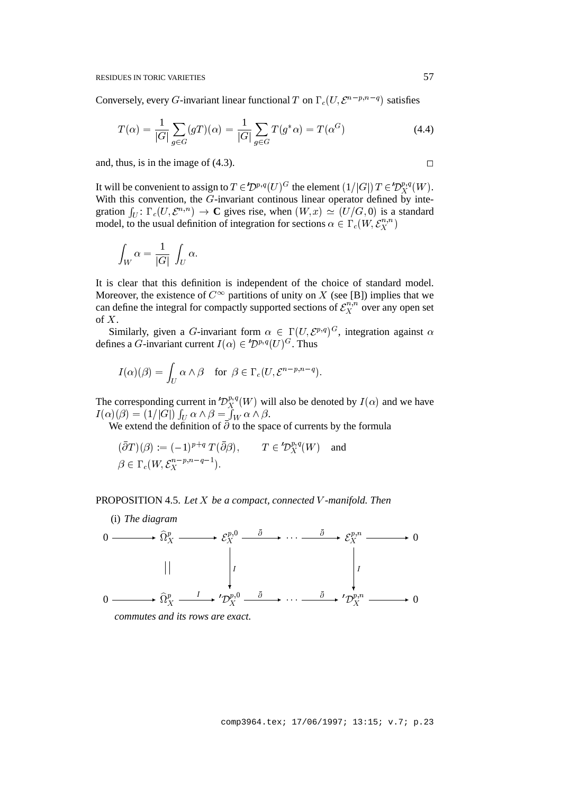Conversely, every G-invariant linear functional T on  $\Gamma_c(U, \mathcal{E}^{n-p,n-q})$  satisfies

$$
T(\alpha) = \frac{1}{|G|} \sum_{g \in G} (gT)(\alpha) = \frac{1}{|G|} \sum_{g \in G} T(g^* \alpha) = T(\alpha^G)
$$
 (4.4)

and, thus, is in the image of  $(4.3)$ .

It will be convenient to assign to  $T \in \mathcal{D}^{p,q}(U)^G$  the element  $(1/|G|)$   $T \in \mathcal{D}^{p,q}_X(W)$ . With this convention, the  $G$ -invariant continous linear operator defined by integration  $\int_U : \Gamma_c(U, \mathcal{E}^{n,n}) \to \mathbb{C}$  gives rise, when  $(W, x) \simeq (U/G, 0)$  is a standard model, to the usual definition of integration for sections  $\alpha \in \Gamma_c(W, \mathcal{E}_X^{n,n})$  $\mathcal{L}$  and  $\mathcal{L}$ 

$$
\int_W \alpha = \frac{1}{|G|} \int_U \alpha.
$$

It is clear that this definition is independent of the choice of standard model. Moreover, the existence of  $C^{\infty}$  partitions of unity on X (see [B]) implies that we can define the integral for compactly supported sections of  $\mathcal{E}_X^{n,n}$  over any  $X^{n,n}_X$  over any open set of  $X$ .

Similarly, given a G-invariant form  $\alpha \in \Gamma(U, \mathcal{E}^{p,q})^G$ , integration against  $\alpha$ defines a G-invariant current  $I(\alpha) \in \mathcal{D}^{p,q}(U)^G$ . Thus

$$
I(\alpha)(\beta) = \int_U \alpha \wedge \beta \quad \text{for } \beta \in \Gamma_c(U, \mathcal{E}^{n-p, n-q}).
$$

The corresponding current in  $D_X^{p,q}(W)$  will also be denoted by  $I(\alpha)$  and we have  $I(\alpha)(\beta)=(1/|G|)\int_U\alpha\wedge\beta=\tilde{\int}_W\alpha\wedge\beta.$ 

We extend the definition of  $\overline{\partial}$  to the space of currents by the formula

$$
(\bar{\partial}T)(\beta) := (-1)^{p+q} T(\bar{\partial}\beta), \qquad T \in {}^t\mathcal{D}_X^{p,q}(W) \quad \text{and}
$$
  

$$
\beta \in \Gamma_c(W, \mathcal{E}_X^{n-p, n-q-1}).
$$

## PROPOSITION 4.5. *Let* X *be a compact, connected* V *-manifold. Then*



*commutes and its rows are exact.*

(i) *The diagram*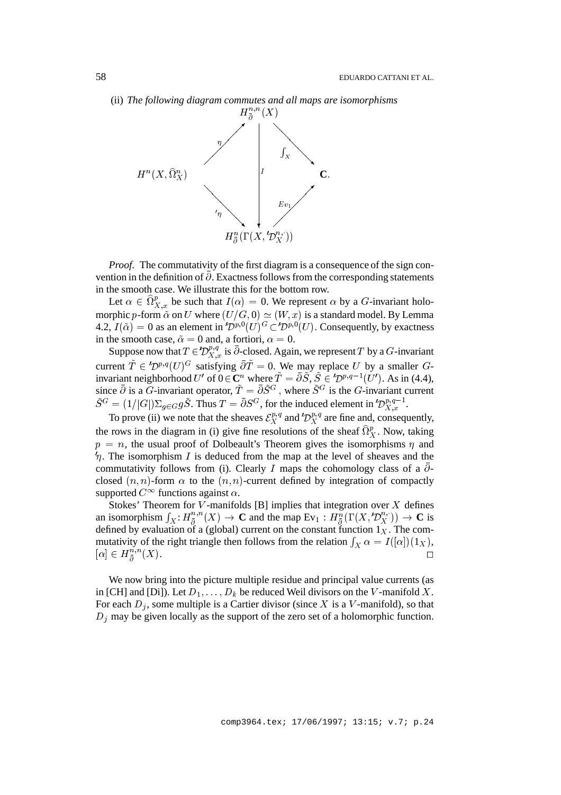(ii) *The following diagram commutes and all maps are isomorphisms*



*Proof*. The commutativity of the first diagram is a consequence of the sign convention in the definition of  $\overline{\partial}$ . Exactness follows from the corresponding statements in the smooth case. We illustrate this for the bottom row.

Let  $\alpha \in \Omega_{X,x}^p$  be such that  $I(\alpha) = 0$ . We represent  $\alpha$  by a G-invariant holomorphic p-form  $\tilde{\alpha}$  on U where  $(U/G, 0) \simeq (W, x)$  is a standard model. By Lemma 4.2,  $I(\tilde{\alpha}) = 0$  as an element in  $\mathcal{D}^{p,0}(U)^G \subset \mathcal{D}^{p,0}(U)$ . Consequently, by exactness in the smooth case,  $\tilde{\alpha} = 0$  and, a fortiori,  $\alpha = 0$ .

Suppose now that  $T \in \mathcal{D}_{X,x}^{p,q}$  is  $\partial$ -closed. Again, we represent T by a G-invariant current  $T \in \mathcal{D}^{p,q}(U)^G$  satisfying  $\partial T = 0$ . We may replace U by a smaller Ginvariant neighborhood  $U'$  of  $0 \in \mathbb{C}^n$  where  $\tilde{T} = \bar{\partial} \tilde{S}$ ,  $\tilde{S} \in 'D^{p,q-1}(U')$ . As in (4.4), since  $\partial$  is a G-invariant operator,  $T = \partial S^G$ , where  $S^G$  is the G-invariant current  $\tilde{S}^G = (1/|G|)\Sigma_{g \in G} g\tilde{S}$ . Thus  $T = \bar{\partial}S^G$ , for the induced element in  $D_{X,x}^{p,q-1}$ .

To prove (ii) we note that the sheaves  $\mathcal{E}_X^{p,q}$  and  $\mathcal{D}_X^{p,q}$  are fine and, consequently,  $\ddot{\,}$  $\ddot{\,}$ the rows in the diagram in (i) give fine resolutions of the sheaf  $\Omega_X^p$ . Now, taking  $p = n$ , the usual proof of Dolbeault's Theorem gives the isomorphisms  $\eta$  and  $\not$ m. The isomorphism I is deduced from the map at the level of sheaves and the commutativity follows from (i). Clearly I maps the cohomology class of a  $\bar{\partial}$ closed  $(n, n)$ -form  $\alpha$  to the  $(n, n)$ -current defined by integration of compactly supported  $C^{\infty}$  functions against  $\alpha$ .

Stokes' Theorem for V-manifolds  $[B]$  implies that integration over X defines an isomorphism  $\int_X H_{\bar{\partial}}^{n,n}(X) \to \mathbf{C}$  and the map  $Ev_1 : H_{\bar{\partial}}^n(\Gamma(X, \mathcal{D}_X^{n},)) \to \mathbf{C}$  is defined by evaluation of a (global) current on the constant function  $1<sub>X</sub>$ . The commutativity of the right triangle then follows from the relation  $\int_X \alpha = I([\alpha])(1_X)$ ,  $|\alpha| \in H_{\bar{\sigma}}$   $(X)$ .  $\frac{n,n}{\bar{\partial}}(X).$ 

We now bring into the picture multiple residue and principal value currents (as in [CH] and [Di]). Let  $D_1, \ldots, D_k$  be reduced Weil divisors on the V-manifold X. For each  $D_i$ , some multiple is a Cartier divisor (since X is a V-manifold), so that  $D_i$  may be given locally as the support of the zero set of a holomorphic function.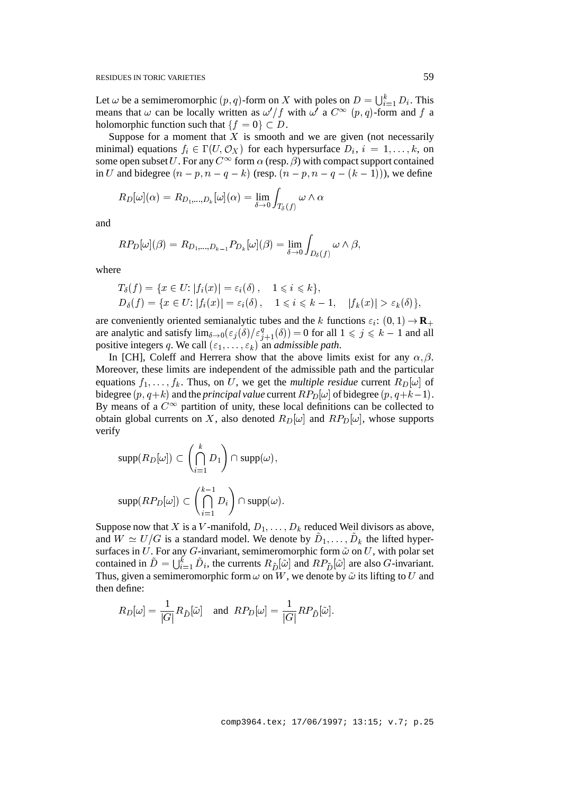Let  $\omega$  be a semimeromorphic  $(p, q)$ -form on X with poles on  $D = \bigcup_{i=1}^{k} D_i$ . This means that  $\omega$  can be locally written as  $\omega'/f$  with  $\omega'$  a  $C^{\infty}(p,q)$ -form and f a holomorphic function such that  ${f = 0} \subset D$ .

Suppose for a moment that  $X$  is smooth and we are given (not necessarily minimal) equations  $f_i \in \Gamma(U, \mathcal{O}_X)$  for each hypersurface  $D_i$ ,  $i = 1, \ldots, k$ , on some open subset  $U$ . For any  $C^{\infty}$  form  $\alpha$  (resp.  $\beta$ ) with compact support contained in U and bidegree  $(n - p, n - q - k)$  (resp.  $(n - p, n - q - (k - 1))$ ), we define

$$
R_D[\omega](\alpha) = R_{D_1,...,D_k}[\omega](\alpha) = \lim_{\delta \to 0} \int_{T_\delta(f)} \omega \wedge \sigma
$$

and

$$
RP_D[\omega](\beta) = R_{D_1,...,D_{k-1}} P_{D_k}[\omega](\beta) = \lim_{\delta \to 0} \int_{D_{\delta}(f)} \omega \wedge \beta,
$$

where

$$
T_{\delta}(f) = \{x \in U: |f_i(x)| = \varepsilon_i(\delta), \quad 1 \leq i \leq k\},
$$
  
\n
$$
D_{\delta}(f) = \{x \in U: |f_i(x)| = \varepsilon_i(\delta), \quad 1 \leq i \leq k - 1, \quad |f_k(x)| > \varepsilon_k(\delta)\},
$$

are conveniently oriented semianalytic tubes and the k functions  $\varepsilon_i$ :  $(0, 1) \rightarrow \mathbf{R}_+$ are analytic and satisfy  $\lim_{\delta \to 0} (\varepsilon_j(\delta)/\varepsilon_{j+1}^q(\delta)) = 0$  for all  $1 \leq j \leq k-1$  and all positive integers q. We call  $(\varepsilon_1, \ldots, \varepsilon_k)$  an *admissible path*.

In [CH], Coleff and Herrera show that the above limits exist for any  $\alpha$ ,  $\beta$ . Moreover, these limits are independent of the admissible path and the particular equations  $f_1,\ldots,f_k$ . Thus, on U, we get the *multiple residue* current  $R_D[\omega]$  of bidegree  $(p, q+k)$  and the *principal value* current  $RP_D[\omega]$  of bidegree  $(p, q+k-1)$ . By means of a  $C^{\infty}$  partition of unity, these local definitions can be collected to obtain global currents on X, also denoted  $R_D[\omega]$  and  $RP_D[\omega]$ , whose supports verify

$$
\text{supp}(R_D[\omega]) \subset \left(\bigcap_{i=1}^k D_1\right) \cap \text{supp}(\omega),
$$
  

$$
\text{supp}(RP_D[\omega]) \subset \left(\bigcap_{i=1}^{k-1} D_i\right) \cap \text{supp}(\omega).
$$

Suppose now that X is a V-manifold,  $D_1,\ldots,D_k$  reduced Weil divisors as above, and  $W \simeq U/G$  is a standard model. We denote by  $D_1, \ldots, D_k$  the lifted hypersurfaces in U. For any G-invariant, semimeromorphic form  $\tilde{\omega}$  on U, with polar set contained in  $D = \bigcup_{i=1}^k D_i$ , the currents  $R_{\tilde{D}}[\tilde{\omega}]$  and  $RP_{\tilde{D}}[\tilde{\omega}]$  are also *G*-invariant. Thus, given a semimeromorphic form  $\omega$  on W, we denote by  $\tilde{\omega}$  its lifting to U and then define:

$$
R_D[\omega] = \frac{1}{|G|} R_{\tilde{D}}[\tilde{\omega}] \text{ and } RP_D[\omega] = \frac{1}{|G|} RP_{\tilde{D}}[\tilde{\omega}].
$$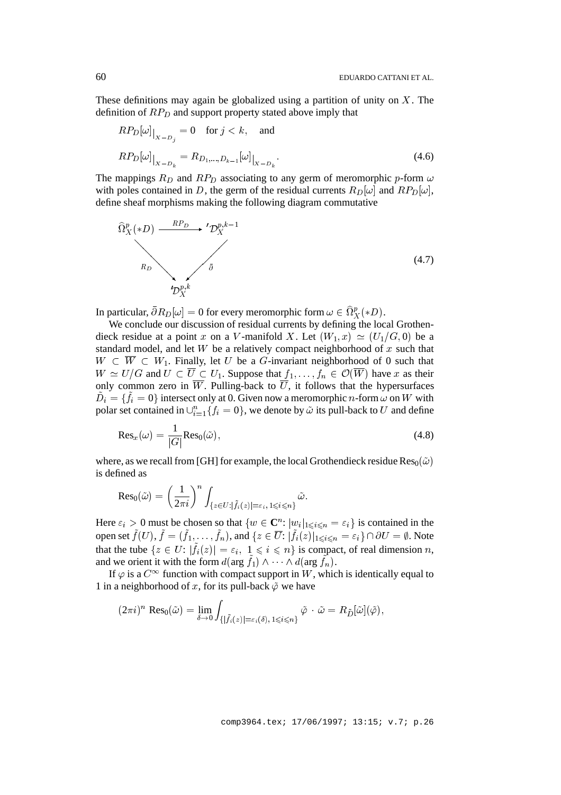These definitions may again be globalized using a partition of unity on  $X$ . The definition of  $RP<sub>D</sub>$  and support property stated above imply that

$$
RP_D[\omega]_{X-D_j} = 0 \text{ for } j < k, \text{ and}
$$
\n
$$
RP_D[\omega]_{X-D_k} = R_{D_1,...,D_{k-1}}[\omega]_{X-D_k}.
$$
\n(4.6)

The mappings  $R_D$  and  $RP_D$  associating to any germ of meromorphic p-form  $\omega$ with poles contained in D, the germ of the residual currents  $R_D[\omega]$  and  $RP_D[\omega]$ , define sheaf morphisms making the following diagram commutative



In particular,  $\partial R_D[\omega] = 0$  for every meromorphic form  $\omega \in \Omega_X^p(*D)$ .

We conclude our discussion of residual currents by defining the local Grothendieck residue at a point x on a V-manifold X. Let  $(W_1, x) \simeq (U_1/G, 0)$  be a standard model, and let  $W$  be a relatively compact neighborhood of  $x$  such that  $W \subset W \subset W_1$ . Finally, let U be a G-invariant neighborhood of 0 such that  $W \simeq U/G$  and  $U \subset \overline{U} \subset U_1$ . Suppose that  $f_1,\ldots,f_n \in \mathcal{O}(\overline{W})$  have x as their only common zero in  $\overline{W}$ . Pulling-back to  $\overline{U}$ , it follows that the hypersurfaces  $D_i = \{f_i = 0\}$  intersect only at 0. Given now a meromorphic *n*-form  $\omega$  on W with polar set contained in  $\bigcup_{i=1}^{n} \{f_i = 0\}$ , we denote by  $\tilde{\omega}$  its pull-back to U and define

$$
\text{Res}_x(\omega) = \frac{1}{|G|} \text{Res}_0(\tilde{\omega}),\tag{4.8}
$$

where, as we recall from [GH] for example, the local Grothendieck residue  $\text{Res}_{0}(\tilde{\omega})$ is defined as

$$
\mathrm{Res}_0(\tilde{\omega}) = \left(\frac{1}{2\pi i}\right)^n \int_{\{z \in U : |\tilde{f}_i(z)| = \varepsilon_i, 1 \leqslant i \leqslant n\}} \tilde{\omega}.
$$

Here  $\varepsilon_i > 0$  must be chosen so that  $\{w \in \mathbb{C}^n: |w_i|_{1 \leqslant i \leqslant n} = \varepsilon_i\}$  is contained in the open set  $f(U), f = (f_1,\ldots,f_n)$ , and  $\{z \in \overline{U} : |f_i(z)|_{1 \leqslant i \leqslant n} = \varepsilon_i\} \cap \partial U = \emptyset$ . Note that the tube  $\{z \in U : |f_i(z)| = \varepsilon_i, 1 \leq i \leq n\}$  is compact, of real dimension n, and we orient it with the form  $d(\arg f_1) \wedge \cdots \wedge d(\arg f_n)$ .

If  $\varphi$  is a  $C^{\infty}$  function with compact support in W, which is identically equal to 1 in a neighborhood of x, for its pull-back  $\tilde{\varphi}$  we have

$$
(2\pi i)^n \operatorname{Res}_{0}(\tilde{\omega}) = \lim_{\delta \to 0} \int_{\{|\tilde{f}_i(z)| = \varepsilon_i(\delta), 1 \leqslant i \leqslant n\}} \tilde{\varphi} \cdot \tilde{\omega} = R_{\tilde{D}}[\tilde{\omega}](\tilde{\varphi}),
$$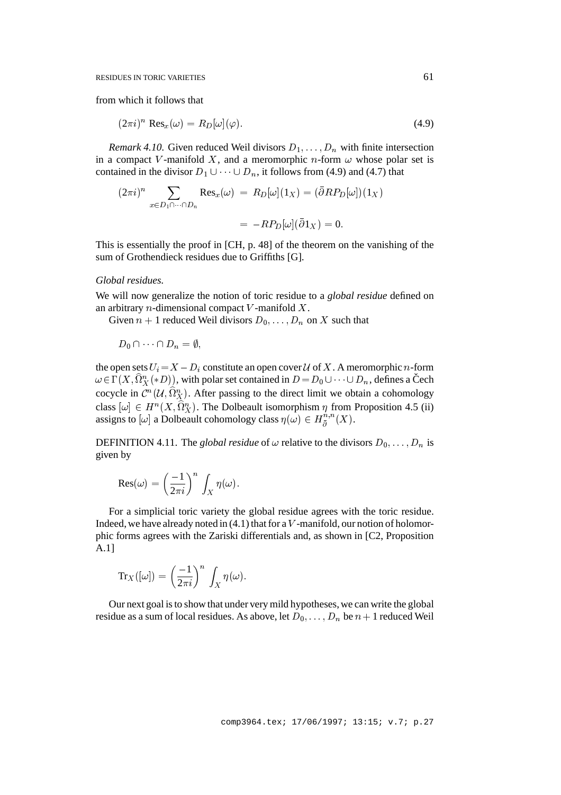from which it follows that

$$
(2\pi i)^n \operatorname{Res}_x(\omega) = R_D[\omega](\varphi). \tag{4.9}
$$

*Remark 4.10.* Given reduced Weil divisors  $D_1, \ldots, D_n$  with finite intersection in a compact V-manifold X, and a meromorphic n-form  $\omega$  whose polar set is contained in the divisor  $D_1 \cup \cdots \cup D_n$ , it follows from (4.9) and (4.7) that

$$
(2\pi i)^n \sum_{x \in D_1 \cap \dots \cap D_n} \text{Res}_x(\omega) = R_D[\omega](1_X) = (\bar{\partial}RP_D[\omega])(1_X)
$$

$$
= -RP_D[\omega](\bar{\partial}1_X) = 0.
$$

This is essentially the proof in [CH, p. 48] of the theorem on the vanishing of the sum of Grothendieck residues due to Griffiths [G].

#### *Global residues.*

We will now generalize the notion of toric residue to a *global residue* defined on an arbitrary  $n$ -dimensional compact V-manifold  $X$ .

Given  $n + 1$  reduced Weil divisors  $D_0, \ldots, D_n$  on X such that

 $D_0 \cap \cdots \cap D_n = \emptyset,$ 

the open sets  $U_i = X - D_i$  constitute an open cover U of X. A meromorphic n-form  $\omega \in \Gamma(X, \hat{\Omega}_X^n(*D))$ , with polar set contained in  $D = D_0 \cup \cdots \cup D_n$ , defines a Čech cocycle in  $\mathcal{C}^n(\mathcal{U}, \Omega^n_X)$ . After passing to the direct limit we obtain a cohomology class  $[\omega] \in H^n(X, \Omega_X^n)$ . The Dolbeault isomorphism  $\eta$  from Proposition 4.5 (ii) assigns to  $[\omega]$  a Dolbeault cohomology class  $\eta(\omega) \in H^{n,n}_{\bar{\partial}}(X)$ .

DEFINITION 4.11. The *global residue* of  $\omega$  relative to the divisors  $D_0, \ldots, D_n$  is given by

$$
Res(\omega) = \left(\frac{-1}{2\pi i}\right)^n \int_X \eta(\omega).
$$

For a simplicial toric variety the global residue agrees with the toric residue. Indeed, we have already noted in  $(4.1)$  that for a V-manifold, our notion of holomorphic forms agrees with the Zariski differentials and, as shown in [C2, Proposition A.1]

$$
\text{Tr}_X([\omega])=\left(\frac{-1}{2\pi i}\right)^n\,\int_X\eta(\omega).
$$

Our next goal is to show that under very mild hypotheses, we can write the global residue as a sum of local residues. As above, let  $D_0,\ldots,D_n$  be  $n+1$  reduced Weil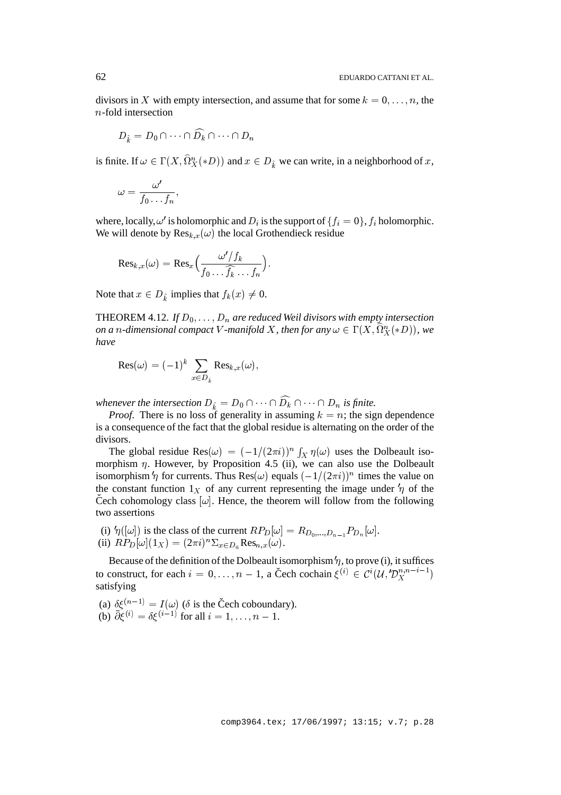divisors in X with empty intersection, and assume that for some  $k = 0, \ldots, n$ , the n-fold intersection

$$
D_{\hat{k}} = D_0 \cap \cdots \cap \widehat{D_k} \cap \cdots \cap D_n
$$

is finite. If  $\omega \in \Gamma(X, \Omega_X^n(*D))$  and  $x \in D_k^*$  we can write, in a neighborhood of x,

$$
\omega=\frac{\omega'}{f_0\ldots f_n},
$$

where, locally,  $\omega'$  is holomorphic and  $D_i$  is the support of  $\{f_i = 0\}$ ,  $f_i$  holomorphic. We will denote by  $\text{Res}_{k,x}(\omega)$  the local Grothendieck residue

$$
\mathrm{Res}_{k,x}(\omega)=\mathrm{Res}_{x}\Big(\frac{\omega'/f_k}{f_0\ldots\widehat{f_k}\ldots f_n}\Big).
$$

Note that  $x \in D_k$  implies that  $f_k(x) \neq 0$ .

THEOREM 4.12. *If*  $D_0$ , ...,  $D_n$  are reduced Weil divisors with empty intersection *on a n*-dimensional compact V-manifold X, then for any  $\omega \in \Gamma(X, \Omega_X^n(*D))$ , we *have*

$$
\mathrm{Res}(\omega) = (-1)^k \sum_{x \in D_{\hat{k}}} \mathrm{Res}_{k,x}(\omega),
$$

*whenever the intersection*  $D_{\hat{k}} = D_0 \cap \cdots \cap D_k \cap \cdots \cap D_n$  *is finite.* 

*Proof.* There is no loss of generality in assuming  $k = n$ ; the sign dependence is a consequence of the fact that the global residue is alternating on the order of the divisors.

The global residue Res $(\omega) = (-1/(2\pi i))^n \int_X \eta(\omega)$  uses the Dolbeault isomorphism  $\eta$ . However, by Proposition 4.5 (ii), we can also use the Dolbeault isomorphism  $\eta$  for currents. Thus Res( $\omega$ ) equals  $(-1/(2\pi i))^n$  times the value on the constant function  $1_X$  of any current representing the image under  $\eta$  of the Čech cohomology class  $[\omega]$ . Hence, the theorem will follow from the following two assertions

(i)  $\eta([\omega])$  is the class of the current  $RP_D[\omega] = R_{D_0,...,D_{n-1}}P_{D_n}[\omega]$ . (ii)  $RP_D[\omega](1_X) = (2\pi i)^n \Sigma_{x \in D_{\hat{n}}} Res_{n,x}(\omega)$ .

Because of the definition of the Dolbeault isomorphism  $\eta$ , to prove (i), it suffices to construct, for each  $i = 0, \ldots, n - 1$ , a Čech cochain  $\xi^{(i)} \in C^i(\mathcal{U}, \mathcal{D}_X^{n, n-i-1})$ satisfying

(a)  $\delta \xi^{(n-1)} = I(\omega)$  ( $\delta$  is the Čech coboundary). (b)  $\bar{\partial} \xi^{(i)} = \delta \xi^{(i-1)}$  for all  $i = 1, ..., n - 1$ .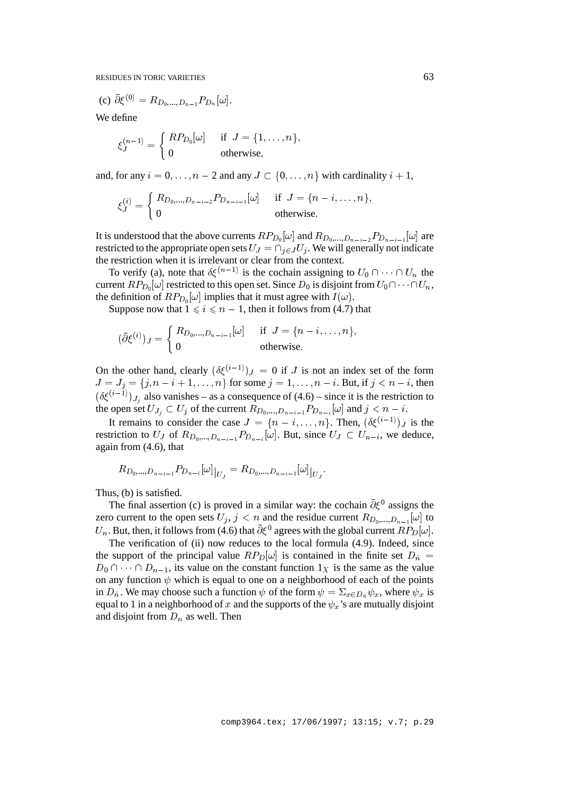(c) 
$$
\bar{\partial} \xi^{(0)} = R_{D_0,...,D_{n-1}} P_{D_n}[\omega].
$$

We define

$$
\xi_J^{(n-1)} = \begin{cases} RP_{D_0}[\omega] & \text{if } J = \{1, \dots, n\}, \\ 0 & \text{otherwise}, \end{cases}
$$

and, for any  $i = 0, \ldots, n - 2$  and any  $J \subset \{0, \ldots, n\}$  with cardinality  $i + 1$ ,

$$
\xi_J^{(i)} = \begin{cases} R_{D_0,\dots,D_{n-i-2}} P_{D_{n-i-1}}[\omega] & \text{if } J = \{n-i,\dots,n\}, \\ 0 & \text{otherwise.} \end{cases}
$$

It is understood that the above currents  $RP_{D_0}[\omega]$  and  $R_{D_0,...,D_{n-i-2}}P_{D_{n-i-1}}[\omega]$  are restricted to the appropriate open sets  $U_J = \bigcap_{i \in J} U_i$ . We will generally not indicate the restriction when it is irrelevant or clear from the context.

To verify (a), note that  $\delta \xi^{(n-1)}$  is the cochain assigning to  $U_0 \cap \cdots \cap U_n$  the current  $RP_{D_0}[\omega]$  restricted to this open set. Since  $D_0$  is disjoint from  $U_0 \cap \cdots \cap U_n$ , the definition of  $RP_{D_0}[\omega]$  implies that it must agree with  $I(\omega)$ .

Suppose now that  $1 \leq i \leq n - 1$ , then it follows from (4.7) that

$$
(\bar{\partial}\xi^{(i)})_J = \begin{cases} R_{D_0,\dots,D_{n-i-1}}[\omega] & \text{if } J = \{n-i,\dots,n\}, \\ 0 & \text{otherwise.} \end{cases}
$$

On the other hand, clearly  $(\delta \xi^{(i-1)})_J = 0$  if J is not an index set of the form  $J = J_j = \{j, n - i + 1, \ldots, n\}$  for some  $j = 1, \ldots, n - i$ . But, if  $j < n - i$ , then  $(\delta \xi^{(i-1)})_{J_i}$  also vanishes – as a consequence of (4.6) – since it is the restriction to the open set  $U_{J_j} \subset U_j$  of the current  $R_{D_0,...,D_{n-i-1}}P_{D_{n-i}}[\omega]$  and  $j < n - i$ .

It remains to consider the case  $J = \{n - i, \ldots, n\}$ . Then,  $(\delta \xi^{(i-1)})_J$  is the restriction to  $U_J$  of  $R_{D_0,...,D_{n-i-1}}P_{D_{n-i}}[\omega]$ . But, since  $U_J \subset U_{n-i}$ , we deduce, again from (4.6), that

$$
R_{D_0,\ldots, D_{n-i-1}} P_{D_{n-i}} [\omega]_{|U_J} = R_{D_0,\ldots, D_{n-i-1}} [\omega]_{|U_J}.
$$

Thus, (b) is satisfied.

The final assertion (c) is proved in a similar way: the cochain  $\bar{\partial} \xi^0$  assigns the zero current to the open sets  $U_j$ ,  $j < n$  and the residue current  $R_{D_0,...,D_{n-1}}[\omega]$  to  $U_n$ . But, then, it follows from (4.6) that  $\bar{\partial} \xi^0$  agrees with the global current  $RP_D[\omega]$ .

The verification of (ii) now reduces to the local formula (4.9). Indeed, since the support of the principal value  $RP_D[\omega]$  is contained in the finite set  $D_{\hat{n}} =$  $D_0 \cap \cdots \cap D_{n-1}$ , its value on the constant function  $1_X$  is the same as the value on any function  $\psi$  which is equal to one on a neighborhood of each of the points in  $D_{\hat{n}}$ . We may choose such a function  $\psi$  of the form  $\psi = \sum_{x \in D_{\hat{n}}} \psi_x$ , where  $\psi_x$  is equal to 1 in a neighborhood of x and the supports of the  $\psi_x$ 's are mutually disjoint and disjoint from  $D_n$  as well. Then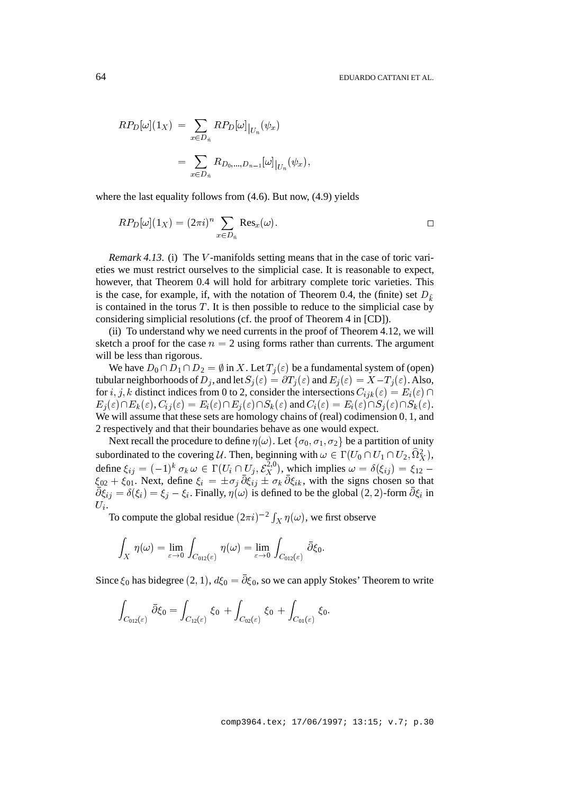$$
RP_D[\omega](1_X) = \sum_{x \in D_{\hat{n}}} RP_D[\omega]_{U_n}(\psi_x)
$$
  
= 
$$
\sum_{x \in D_{\hat{n}}} R_{D_0,...,D_{n-1}}[\omega]_{U_n}(\psi_x),
$$

where the last equality follows from (4.6). But now, (4.9) yields

$$
RP_D[\omega](1_X) = (2\pi i)^n \sum_{x \in D_{\hat{n}}} \text{Res}_x(\omega).
$$

*Remark 4.13.* (i) The *V*-manifolds setting means that in the case of toric varieties we must restrict ourselves to the simplicial case. It is reasonable to expect, however, that Theorem 0.4 will hold for arbitrary complete toric varieties. This is the case, for example, if, with the notation of Theorem 0.4, the (finite) set  $D_{\hat{k}}$ is contained in the torus  $T$ . It is then possible to reduce to the simplicial case by considering simplicial resolutions (cf. the proof of Theorem 4 in [CD]).

(ii) To understand why we need currents in the proof of Theorem 4.12, we will sketch a proof for the case  $n = 2$  using forms rather than currents. The argument will be less than rigorous.

We have  $D_0 \cap D_1 \cap D_2 = \emptyset$  in X. Let  $T_j(\varepsilon)$  be a fundamental system of (open) tubular neighborhoods of  $D_i$ , and let  $S_i(\varepsilon) = \partial T_i(\varepsilon)$  and  $E_i(\varepsilon) = X - T_i(\varepsilon)$ . Also, for i, j, k distinct indices from 0 to 2, consider the intersections  $C_{ijk}(\varepsilon) = E_i(\varepsilon) \cap$  $E_i(\varepsilon) \cap E_k(\varepsilon)$ ,  $C_{ij} (\varepsilon) = E_i(\varepsilon) \cap E_j(\varepsilon) \cap S_k(\varepsilon)$  and  $C_i(\varepsilon) = E_i(\varepsilon) \cap S_j(\varepsilon) \cap S_k(\varepsilon)$ . We will assume that these sets are homology chains of (real) codimension 0, 1, and 2 respectively and that their boundaries behave as one would expect.

Next recall the procedure to define  $\eta(\omega)$ . Let  $\{\sigma_0, \sigma_1, \sigma_2\}$  be a partition of unity subordinated to the covering U. Then, beginning with  $\omega \in \Gamma(U_0 \cap U_1 \cap U_2, \widehat{\Omega}_X^2)$ , define  $\xi_{ij} = (-1)^k \sigma_k \, \omega \in \Gamma(U_i \cap U_j, \mathcal{E}_X^{2,0}),$  which implies  $\omega = \delta(\xi_{ij}) = \xi_{12} - \frac{1}{2}$  $\xi_{02} + \xi_{01}$ . Next, define  $\xi_i = \pm \sigma_j \partial \xi_{ij} \pm \sigma_k \partial \xi_{ik}$ , with the signs chosen so that  $\partial \xi_{ij} = \delta(\xi_i) = \xi_j - \xi_i$ . Finally,  $\eta(\omega)$  is defined to be the global (2, 2)-form  $\partial \xi_i$  in  $U_i$ .

To compute the global residue  $(2\pi i)^{-2} \int_X \eta(\omega)$ , we first observe

$$
\int_X \ \eta(\omega) = \lim_{\varepsilon \to 0} \ \int_{C_{012}(\varepsilon)} \ \eta(\omega) = \lim_{\varepsilon \to 0} \ \int_{C_{012}(\varepsilon)} \ \bar{\partial} \xi_0.
$$

Since  $\xi_0$  has bidegree  $(2, 1)$ ,  $d\xi_0 = \overline{\partial} \xi_0$ , so we can apply Stokes' Theorem to write

$$
\int_{C_{012}(\varepsilon)} \bar{\partial} \xi_0 = \int_{C_{12}(\varepsilon)} \xi_0 + \int_{C_{02}(\varepsilon)} \xi_0 + \int_{C_{01}(\varepsilon)} \xi_0.
$$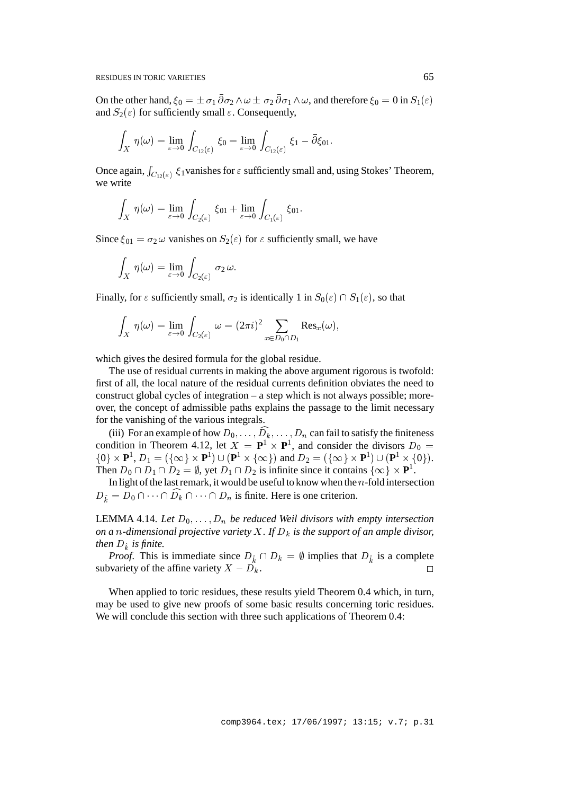On the other hand,  $\xi_0 = \pm \sigma_1 \partial \sigma_2 \wedge \omega \pm \sigma_2 \partial \sigma_1 \wedge \omega$ , and therefore  $\xi_0 = 0$  in  $S_1(\varepsilon)$ and  $S_2(\varepsilon)$  for sufficiently small  $\varepsilon$ . Consequently,

$$
\int_X \, \eta(\omega) = \lim_{\varepsilon \to 0} \, \int_{C_{12}(\varepsilon)} \, \xi_0 = \lim_{\varepsilon \to 0} \, \int_{C_{12}(\varepsilon)} \, \xi_1 - \bar{\partial} \xi_{01}.
$$

Once again,  $\int_{C_{12}(\varepsilon)} \xi_1$  vanishes for  $\varepsilon$  sufficiently small and, using Stokes' Theorem, we write

$$
\int_X \ \eta(\omega) = \lim_{\varepsilon \to 0} \, \int_{C_2(\varepsilon)} \, \xi_{01} + \lim_{\varepsilon \to 0} \, \int_{C_1(\varepsilon)} \, \xi_{01}.
$$

Since  $\xi_{01} = \sigma_2 \omega$  vanishes on  $S_2(\varepsilon)$  for  $\varepsilon$  sufficiently small, we have

$$
\int_X\ \eta(\omega)=\lim_{\varepsilon\to 0}\,\int_{C_2(\varepsilon)}\,\sigma_2\,\omega.
$$

Finally, for  $\varepsilon$  sufficiently small,  $\sigma_2$  is identically 1 in  $S_0(\varepsilon) \cap S_1(\varepsilon)$ , so that

$$
\int_X \, \eta(\omega) = \lim_{\varepsilon \to 0} \, \int_{C_2(\varepsilon)} \, \omega = (2\pi i)^2 \sum_{x \in D_0 \cap D_1} \text{Res}_x(\omega),
$$

which gives the desired formula for the global residue.

The use of residual currents in making the above argument rigorous is twofold: first of all, the local nature of the residual currents definition obviates the need to construct global cycles of integration – a step which is not always possible; moreover, the concept of admissible paths explains the passage to the limit necessary for the vanishing of the various integrals.

(iii) For an example of how  $D_0, \ldots, D_k, \ldots, D_n$  can fail to satisfy the finiteness condition in Theorem 4.12, let  $X = \mathbf{P}^1 \times \mathbf{P}^1$ , and consider the divisors  $D_0 =$  $\{0\} \times \mathbf{P}^1$ ,  $D_1 = (\{\infty\} \times \mathbf{P}^1) \cup (\mathbf{P}^1 \times \{\infty\})$  and  $D_2 = (\{\infty\} \times \mathbf{P}^1) \cup (\mathbf{P}^1 \times \{0\}).$ Then  $D_0 \cap D_1 \cap D_2 = \emptyset$ , yet  $D_1 \cap D_2$  is infinite since it contains  $\{\infty\} \times \mathbf{P}^1$ .

In light of the last remark, it would be useful to know when the  $n$ -fold intersection  $D_{\hat{k}} = D_0 \cap \cdots \cap D_k \cap \cdots \cap D_n$  is finite. Here is one criterion.

LEMMA 4.14. Let  $D_0, \ldots, D_n$  be reduced Weil divisors with empty intersection *on a n*-dimensional projective variety X. If  $D_k$  is the support of an ample divisor, *then*  $D_i$  *is finite.* 

*Proof.* This is immediate since  $D_{\hat{k}} \cap D_k = \emptyset$  implies that  $D_{\hat{k}}$  is a complete subvariety of the affine variety  $X - D_k$ .

When applied to toric residues, these results yield Theorem 0.4 which, in turn, may be used to give new proofs of some basic results concerning toric residues. We will conclude this section with three such applications of Theorem 0.4: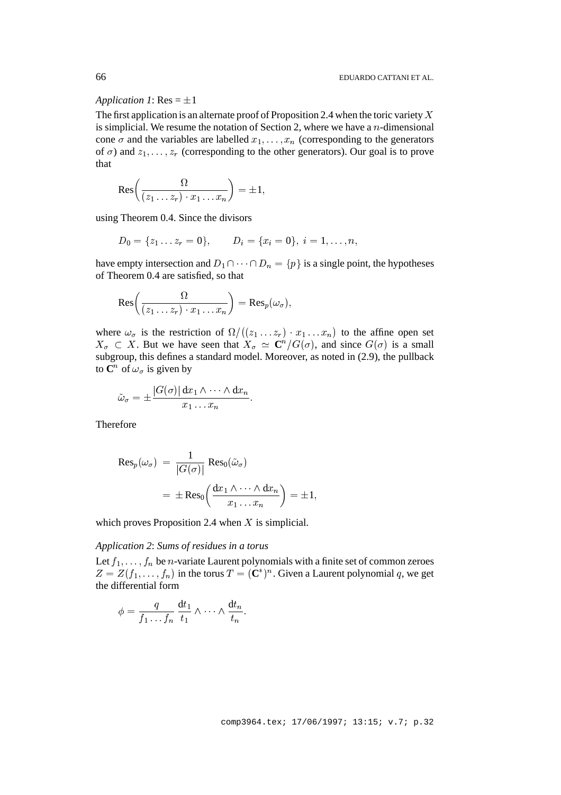## *Application 1*:  $Res = \pm 1$

The first application is an alternate proof of Proposition 2.4 when the toric variety  $X$ is simplicial. We resume the notation of Section 2, where we have a  $n$ -dimensional cone  $\sigma$  and the variables are labelled  $x_1, \ldots, x_n$  (corresponding to the generators of  $\sigma$ ) and  $z_1$ , ...,  $z_r$  (corresponding to the other generators). Our goal is to prove that

$$
\text{Res}\bigg(\frac{\Omega}{(z_1\ldots z_r)\cdot x_1\ldots x_n}\bigg)=\pm 1,
$$

using Theorem 0.4. Since the divisors

$$
D_0 = \{z_1 \dots z_r = 0\}, \qquad D_i = \{x_i = 0\}, \ i = 1, \dots, n,
$$

have empty intersection and  $D_1 \cap \cdots \cap D_n = \{p\}$  is a single point, the hypotheses of Theorem 0.4 are satisfied, so that

$$
\text{Res}\bigg(\frac{\Omega}{(z_1\ldots z_r)\cdot x_1\ldots x_n}\bigg)=\text{Res}_p(\omega_\sigma),
$$

where  $\omega_{\sigma}$  is the restriction of  $\Omega/((z_1 \dots z_n))$  $((z_1 \ldots z_r) \cdot x_1 \ldots x_n)$  to the affine open set  $X_{\sigma} \subset X$ . But we have seen that  $X_{\sigma} \simeq \mathbb{C}^n/G(\sigma)$ , and since  $G(\sigma)$  is a small subgroup, this defines a standard model. Moreover, as noted in (2.9), the pullback to  $\mathbb{C}^n$  of  $\omega_{\sigma}$  is given by

$$
\tilde{\omega}_{\sigma} = \pm \frac{|G(\sigma)| \, \mathrm{d}x_1 \wedge \cdots \wedge \mathrm{d}x_n}{x_1 \ldots x_n}.
$$

Therefore

$$
\begin{aligned} \text{Res}_p(\omega_{\sigma}) \ &= \frac{1}{|G(\sigma)|} \text{Res}_0(\tilde{\omega}_{\sigma}) \\ &= \pm \text{Res}_0\left(\frac{\mathrm{d}x_1 \wedge \cdots \wedge \mathrm{d}x_n}{x_1 \ldots x_n}\right) = \pm 1, \end{aligned}
$$

which proves Proposition 2.4 when  $X$  is simplicial.

## *Application 2*: *Sums of residues in a torus*

Let  $f_1$ ,  $\ldots$ ,  $f_n$  be *n*-variate Laurent polynomials with a finite set of common zeroes  $Z = Z(f_1, \ldots, f_n)$  in the torus  $T = (\mathbb{C}^*)^n$ . Given a Laurent polynomial q, we get the differential form

$$
\phi = \frac{q}{f_1 \dots f_n} \frac{dt_1}{t_1} \wedge \dots \wedge \frac{dt_n}{t_n}.
$$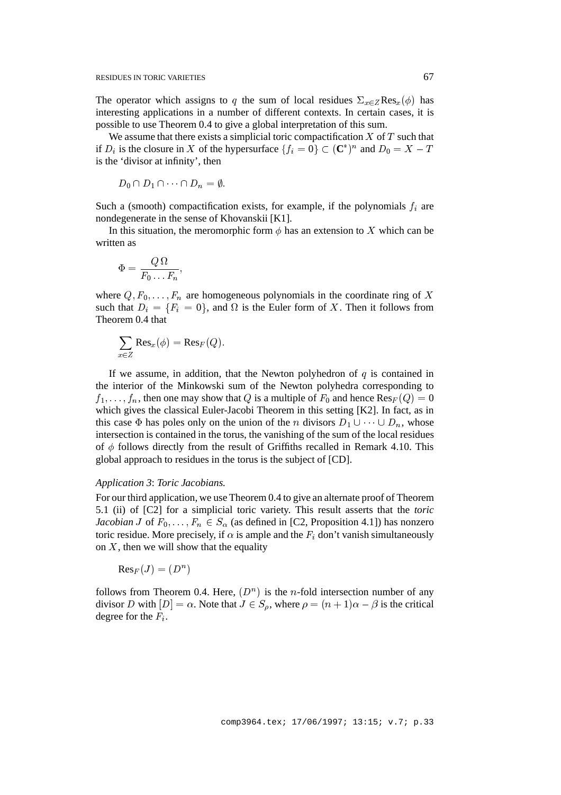The operator which assigns to q the sum of local residues  $\Sigma_{x\in Z}$ Res<sub>x</sub>( $\phi$ ) has interesting applications in a number of different contexts. In certain cases, it is possible to use Theorem 0.4 to give a global interpretation of this sum.

We assume that there exists a simplicial toric compactification  $X$  of  $T$  such that if  $D_i$  is the closure in X of the hypersurface  $\{f_i = 0\} \subset (\mathbb{C}^*)^n$  and  $D_0 = X - T$ is the 'divisor at infinity', then

$$
D_0 \cap D_1 \cap \cdots \cap D_n = \emptyset.
$$

Such a (smooth) compactification exists, for example, if the polynomials  $f_i$  are nondegenerate in the sense of Khovanskii [K1].

In this situation, the meromorphic form  $\phi$  has an extension to X which can be written as

$$
\Phi=\frac{Q\,\Omega}{F_0\ldots F_n},
$$

where  $Q, F_0, \ldots, F_n$  are homogeneous polynomials in the coordinate ring of X such that  $D_i = \{F_i = 0\}$ , and  $\Omega$  is the Euler form of X. Then it follows from Theorem 0.4 that

$$
\sum_{x \in Z} \text{Res}_x(\phi) = \text{Res}_F(Q).
$$

If we assume, in addition, that the Newton polyhedron of  $q$  is contained in the interior of the Minkowski sum of the Newton polyhedra corresponding to  $f_1,\ldots,f_n$ , then one may show that Q is a multiple of  $F_0$  and hence  $\text{Res}_F(Q) = 0$ which gives the classical Euler-Jacobi Theorem in this setting [K2]. In fact, as in this case  $\Phi$  has poles only on the union of the n divisors  $D_1 \cup \cdots \cup D_n$ , whose intersection is contained in the torus, the vanishing of the sum of the local residues of  $\phi$  follows directly from the result of Griffiths recalled in Remark 4.10. This global approach to residues in the torus is the subject of [CD].

### *Application 3*: *Toric Jacobians.*

For our third application, we use Theorem 0.4 to give an alternate proof of Theorem 5.1 (ii) of [C2] for a simplicial toric variety. This result asserts that the *toric Jacobian* J of  $F_0$ , ...,  $F_n \in S_\alpha$  (as defined in [C2, Proposition 4.1]) has nonzero toric residue. More precisely, if  $\alpha$  is ample and the  $F_i$  don't vanish simultaneously on  $X$ , then we will show that the equality

 $Res_F(J) = (D^n)$  $\blacksquare$ 

follows from Theorem 0.4. Here,  $(D^n)$  is the *n*-fold intersection number of any divisor D with  $[D] = \alpha$ . Note that  $J \in S_{\rho}$ , where  $\rho = (n+1)\alpha - \beta$  is the critical degree for the  $F_i$ .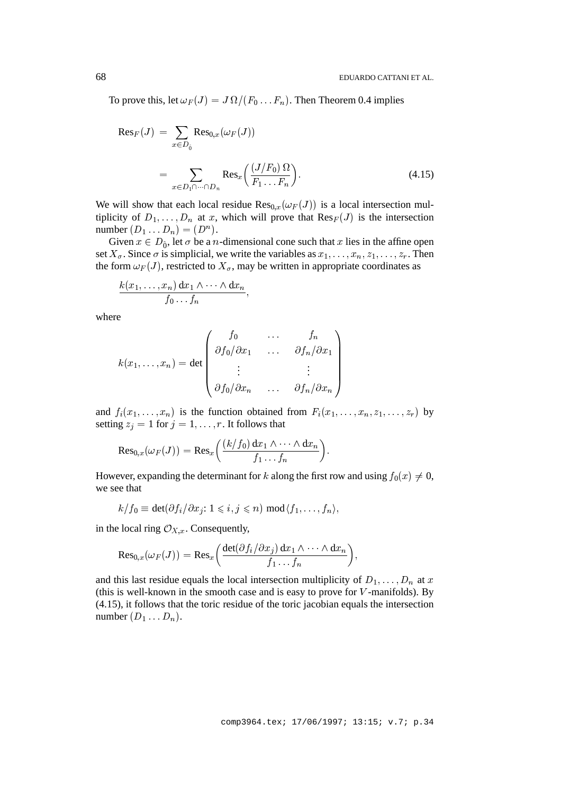To prove this, let  $\omega_F(J) = J \, \Omega/(F_0 \dots F_n).$  Then Theorem 0.4 implies

$$
Res_F(J) = \sum_{x \in D_0} Res_{0,x}(\omega_F(J))
$$
  
= 
$$
\sum_{x \in D_1 \cap \dots \cap D_n} Res_x\left(\frac{(J/F_0) \Omega}{F_1 \dots F_n}\right).
$$
 (4.15)

We will show that each local residue  $\text{Res}_{0,x}(\omega_F(J))$  is a local intersection multiplicity of  $D_1,\ldots,D_n$  at x, which will prove that  $\text{Res}_F(J)$  is the intersection number  $(D_1 \ldots D_n) = (D^n)$ .

Given  $x \in D_{\hat{\theta}}$ , let  $\sigma$  be a *n*-dimensional cone such that x lies in the affine open set  $X_{\sigma}$ . Since  $\sigma$  is simplicial, we write the variables as  $x_1, \ldots, x_n, z_1, \ldots, z_r$ . Then the form  $\omega_F(J)$ , restricted to  $X_{\sigma}$ , may be written in appropriate coordinates as

$$
\frac{k(x_1,\ldots,x_n)\,\mathrm{d} x_1\wedge\cdots\wedge\mathrm{d} x_n}{f_0\ldots f_n},
$$

where

$$
k(x_1, \ldots, x_n) = \det \begin{pmatrix} f_0 & \cdots & f_n \\ \partial f_0 / \partial x_1 & \cdots & \partial f_n / \partial x_1 \\ \vdots & & \vdots \\ \partial f_0 / \partial x_n & \cdots & \partial f_n / \partial x_n \end{pmatrix}
$$

and  $f_i(x_1,\ldots,x_n)$  is the function obtained from  $F_i(x_1,\ldots,x_n,z_1,\ldots,z_r)$  by setting  $z_j = 1$  for  $j = 1, \ldots, r$ . It follows that

$$
{\rm Res}_{0,x}(\omega_F(J))={\rm Res}_x\bigg(\frac{(k/f_0)\,{\rm d} x_1\wedge\dots\wedge{\rm d} x_n}{f_1\dots f_n}\bigg).
$$

However, expanding the determinant for k along the first row and using  $f_0(x) \neq 0$ , we see that

$$
k/f_0 \equiv \det(\partial f_i/\partial x_j: 1 \leqslant i, j \leqslant n) \bmod \langle f_1, \ldots, f_n \rangle,
$$

in the local ring  $\mathcal{O}_{X,x}$ . Consequently,

$$
\mathrm{Res}_{0,x}(\omega_F(J)) = \mathrm{Res}_x\bigg(\frac{\det(\partial f_i/\partial x_j)\, \mathrm{d} x_1 \wedge \cdots \wedge \mathrm{d} x_n}{f_1 \ldots f_n}\bigg),
$$

and this last residue equals the local intersection multiplicity of  $D_1, \ldots, D_n$  at x (this is well-known in the smooth case and is easy to prove for  $V$ -manifolds). By (4.15), it follows that the toric residue of the toric jacobian equals the intersection number  $(D_1 \ldots D_n)$ .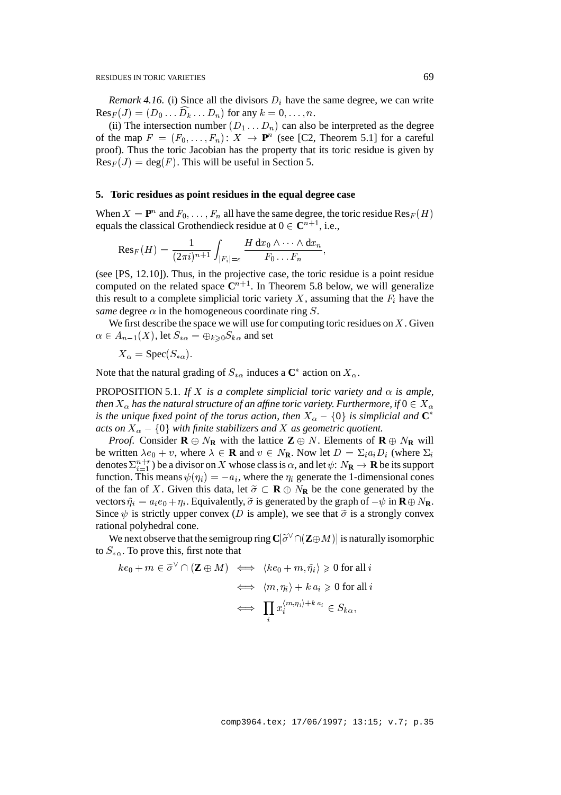*Remark 4.16.* (i) Since all the divisors  $D_i$  have the same degree, we can write  $\text{Res}_F(J) = (D_0 \dots D_k \dots D_n)$  for any  $k = 0, \dots, n$ .

(ii) The intersection number  $(D_1 \ldots D_n)$  can also be interpreted as the degree of the map  $F = (F_0, \ldots, F_n) : X \to \mathbf{P}^n$  (see [C2, Theorem 5.1] for a careful proof). Thus the toric Jacobian has the property that its toric residue is given by  $Res_F(J) = deg(F)$ . This will be useful in Section 5.

#### **5. Toric residues as point residues in the equal degree case**

When  $X = \mathbf{P}^n$  and  $F_0, \ldots, F_n$  all have the same degree, the toric residue  $\text{Res}_F(H)$ equals the classical Grothendieck residue at  $0 \in \mathbb{C}^{n+1}$ , i.e.,

$$
\mathrm{Res}_F(H)=\frac{1}{(2\pi i)^{n+1}}\int_{|F_i|=\varepsilon}\frac{H\,\mathrm{d}x_0\wedge\cdots\wedge\mathrm{d}x_n}{F_0\ldots\,F_n},
$$

(see [PS, 12.10]). Thus, in the projective case, the toric residue is a point residue computed on the related space  $C^{n+1}$ . In Theorem 5.8 below, we will generalize this result to a complete simplicial toric variety X, assuming that the  $F_i$  have the *same* degree  $\alpha$  in the homogeneous coordinate ring S.

We first describe the space we will use for computing toric residues on  $X$ . Given  $\alpha \in A_{n-1}(X)$ , let  $S_{*\alpha} = \bigoplus_{k\geqslant 0} S_{k\alpha}$  and set

 $X_{\alpha} = \text{Spec}(S_{*\alpha}).$ 

Note that the natural grading of  $S_{*\alpha}$  induces a  $\mathbb{C}^*$  action on  $X_\alpha$ .

PROPOSITION 5.1. If X is a complete simplicial toric variety and  $\alpha$  is ample, *then*  $X_{\alpha}$  has the natural structure of an affine toric variety. Furthermore, if  $0 \in X_{\alpha}$ *is the unique fixed point of the torus action, then*  $X_{\alpha} - \{0\}$  *is simplicial and*  $\mathbb{C}^*$ *acts on*  $X_{\alpha} - \{0\}$  *with finite stabilizers and* X *as geometric quotient.* 

*Proof.* Consider  $\mathbf{R} \oplus N_{\mathbf{R}}$  with the lattice  $\mathbf{Z} \oplus N$ . Elements of  $\mathbf{R} \oplus N_{\mathbf{R}}$  will be written  $\lambda e_0 + v$ , where  $\lambda \in \mathbf{R}$  and  $v \in N_{\mathbf{R}}$ . Now let  $D = \sum_i a_i D_i$  (where  $\Sigma_i$ denotes  $\Sigma_{i=1}^{n+r}$ ) be a divisor on X whose class is  $\alpha$ , and let  $\psi: N_{\mathbf{R}} \to \mathbf{R}$  be its support function. This means  $\psi(\eta_i) = -a_i$ , where the  $\eta_i$  generate the 1-dimensional cones of the fan of X. Given this data, let  $\tilde{\sigma} \subset \mathbf{R} \oplus N_{\mathbf{R}}$  be the cone generated by the vectors  $\tilde{\eta}_i = a_i e_0 + \eta_i$ . Equivalently,  $\tilde{\sigma}$  is generated by the graph of  $-\psi$  in  $\mathbf{R} \oplus N_{\mathbf{R}}$ . Since  $\psi$  is strictly upper convex (D is ample), we see that  $\tilde{\sigma}$  is a strongly convex rational polyhedral cone.

We next observe that the semigroup ring  $\mathbf{C}[\tilde{\sigma}^{\vee} \cap (\mathbf{Z} \oplus M)]$  is naturally isomorphic to  $S_{*\alpha}$ . To prove this, first note that

$$
ke_0 + m \in \widetilde{\sigma}^{\vee} \cap (\mathbf{Z} \oplus M) \iff \langle ke_0 + m, \widetilde{\eta}_i \rangle \geq 0 \text{ for all } i
$$

$$
\iff \langle m, \eta_i \rangle + k a_i \geq 0 \text{ for all } i
$$

$$
\iff \prod_i x_i^{\langle m, \eta_i \rangle + k a_i} \in S_{k\alpha},
$$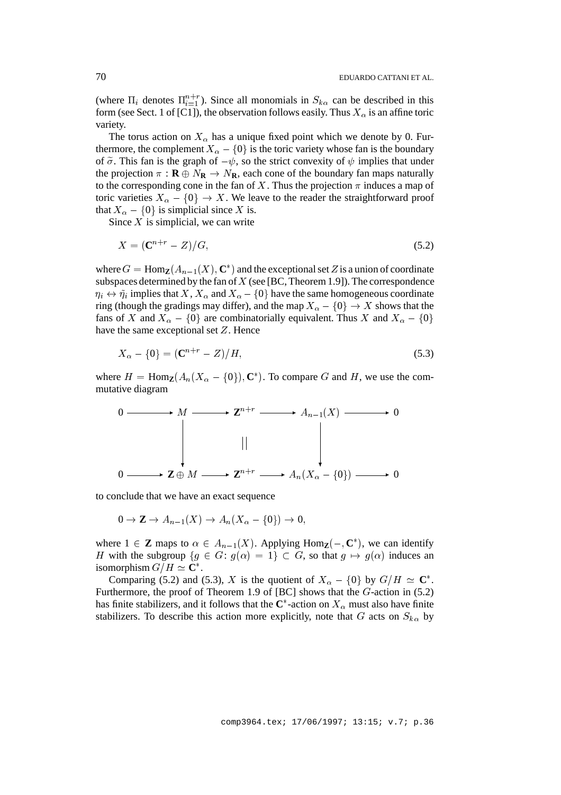(where  $\Pi_i$  denotes  $\Pi_{i=1}^{n+r}$ ). Since all monomials in  $S_{k\alpha}$  can be described in this form (see Sect. 1 of [C1]), the observation follows easily. Thus  $X_{\alpha}$  is an affine toric variety.

The torus action on  $X_{\alpha}$  has a unique fixed point which we denote by 0. Furthermore, the complement  $X_{\alpha} - \{0\}$  is the toric variety whose fan is the boundary of  $\tilde{\sigma}$ . This fan is the graph of  $-\psi$ , so the strict convexity of  $\psi$  implies that under the projection  $\pi$  :  $\mathbf{R} \oplus N_{\mathbf{R}} \to N_{\mathbf{R}}$ , each cone of the boundary fan maps naturally to the corresponding cone in the fan of X. Thus the projection  $\pi$  induces a map of toric varieties  $X_{\alpha} - \{0\} \rightarrow X$ . We leave to the reader the straightforward proof that  $X_{\alpha} - \{0\}$  is simplicial since X is.

Since  $X$  is simplicial, we can write

$$
X = (\mathbf{C}^{n+r} - Z)/G,\tag{5.2}
$$

where  $G = \text{Hom}_{\mathbf{Z}}(A_{n-1}(X), \mathbf{C}^*)$  and the exceptional set Z is a union of coordinate subspaces determined by the fan of  $X$  (see [BC, Theorem 1.9]). The correspondence  $\eta_i \leftrightarrow \tilde{\eta}_i$  implies that  $X,$   $X_{\alpha}$  and  $X_{\alpha} - \{0\}$  have the same homogeneous coordinate ring (though the gradings may differ), and the map  $X_{\alpha} - \{0\} \rightarrow X$  shows that the fans of X and  $X_{\alpha} - \{0\}$  are combinatorially equivalent. Thus X and  $X_{\alpha} - \{0\}$ have the same exceptional set Z. Hence

$$
X_{\alpha} - \{0\} = (\mathbf{C}^{n+r} - Z)/H, \tag{5.3}
$$

where  $H = \text{Hom}_{\mathbf{Z}}(A_n(X_\alpha - \{0\}), \mathbf{C}^*)$ . To compare G and H, we use the commutative diagram



to conclude that we have an exact sequence

$$
0 \to \mathbf{Z} \to A_{n-1}(X) \to A_n(X_\alpha - \{0\}) \to 0,
$$

where  $1 \in \mathbb{Z}$  maps to  $\alpha \in A_{n-1}(X)$ . Applying Hom<sub> $\mathbb{Z}(-, \mathbb{C}^*)$ , we can identify</sub> H with the subgroup  $\{g \in G: g(\alpha) = 1\} \subset G$ , so that  $g \mapsto g(\alpha)$  induces an isomorphism  $G/H \simeq \mathbb{C}^*$ .

Comparing (5.2) and (5.3), X is the quotient of  $X_{\alpha} - \{0\}$  by  $G/H \simeq \mathbb{C}^*$ . Furthermore, the proof of Theorem 1.9 of [BC] shows that the G-action in (5.2) has finite stabilizers, and it follows that the  $\mathbb{C}^*$ -action on  $X_\alpha$  must also have finite stabilizers. To describe this action more explicitly, note that G acts on  $S_{k\alpha}$  by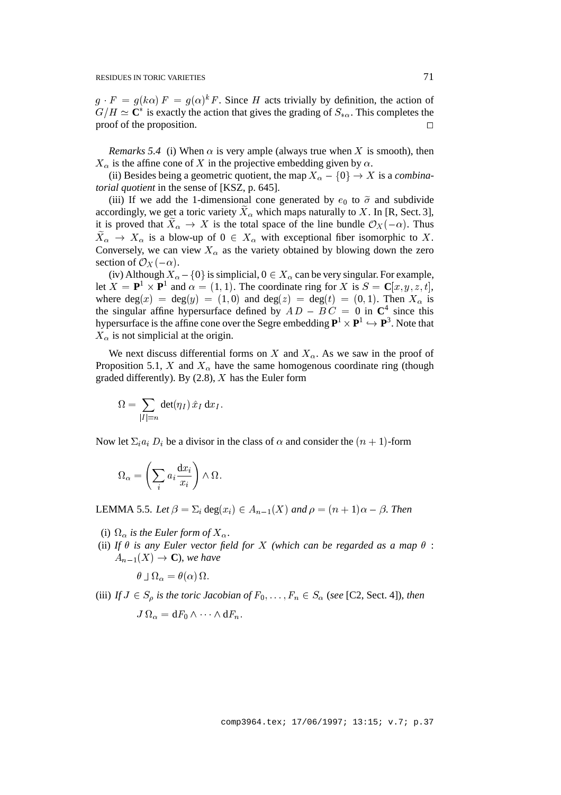$g \cdot F = g(k\alpha) F = g(\alpha)^k F$ . Since H acts trivially by definition, the action of  $G/H \simeq \mathbb{C}^*$  is exactly the action that gives the grading of  $S_{*\alpha}$ . This completes the proof of the proposition.  $\Box$ 

*Remarks 5.4* (i) When  $\alpha$  is very ample (always true when X is smooth), then  $X_{\alpha}$  is the affine cone of X in the projective embedding given by  $\alpha$ .

(ii) Besides being a geometric quotient, the map  $X_{\alpha} - \{0\} \rightarrow X$  is a *combinatorial quotient* in the sense of [KSZ, p. 645].

(iii) If we add the 1-dimensional cone generated by  $e_0$  to  $\tilde{\sigma}$  and subdivide accordingly, we get a toric variety  $X_{\alpha}$  which maps naturally to X. In [R, Sect. 3], it is proved that  $X_{\alpha} \to X$  is the total space of the line bundle  $\mathcal{O}_X(-\alpha)$ . Thus  $X_{\alpha} \to X_{\alpha}$  is a blow-up of  $0 \in X_{\alpha}$  with exceptional fiber isomorphic to X. Conversely, we can view  $X_{\alpha}$  as the variety obtained by blowing down the zero section of  $\mathcal{O}_X(-\alpha)$ .

(iv) Although  $X_{\alpha} - \{0\}$  is simplicial,  $0 \in X_{\alpha}$  can be very singular. For example, let  $X = \mathbf{P}^1 \times \mathbf{P}^1$  and  $\alpha = (1,1)$ . The coordinate ring for X is  $S = \mathbf{C}[x, y, z, t]$ , where  $deg(x) = deg(y) = (1, 0)$  and  $deg(z) = deg(t) = (0, 1)$ . Then  $X_{\alpha}$  is the singular affine hypersurface defined by  $A D - B C = 0$  in  $\mathbb{C}^4$  since this hypersurface is the affine cone over the Segre embedding  $\mathbf{P}^1 \times \mathbf{P}^1 \hookrightarrow \mathbf{P}^3$ . Note that  $X_{\alpha}$  is not simplicial at the origin.

We next discuss differential forms on X and  $X_\alpha$ . As we saw in the proof of Proposition 5.1, X and  $X_{\alpha}$  have the same homogenous coordinate ring (though graded differently). By  $(2.8)$ , X has the Euler form

$$
\Omega = \sum_{|I|=n} \det(\eta_I) \, \hat{x}_I \, \mathrm{d} x_I.
$$

Now let  $\Sigma_i a_i D_i$  be a divisor in the class of  $\alpha$  and consider the  $(n + 1)$ -form

$$
\Omega_{\alpha} = \left(\sum_{i} a_i \frac{\mathrm{d}x_i}{x_i}\right) \wedge \Omega.
$$

LEMMA 5.5. Let  $\beta = \sum_i \text{deg}(x_i) \in A_{n-1}(X)$  and  $\rho = (n+1)\alpha - \beta$ . Then

- (i)  $\Omega_{\alpha}$  is the Euler form of  $X_{\alpha}$ .
- (ii) If  $\theta$  is any Euler vector field for X (which can be regarded as a map  $\theta$  :  $A_{n-1}(X) \rightarrow \mathbf{C}$ , we have

$$
\theta \sqcup \Omega_{\alpha} = \theta(\alpha) \Omega.
$$

(iii) *If*  $J \in S_0$  *is the toric Jacobian of*  $F_0, \ldots, F_n \in S_\alpha$  (*see* [C2, Sect. 4]*), then*  $J\, \Omega_{\alpha} = {\rm d} F_0 \wedge \cdots \wedge {\rm d} F_n.$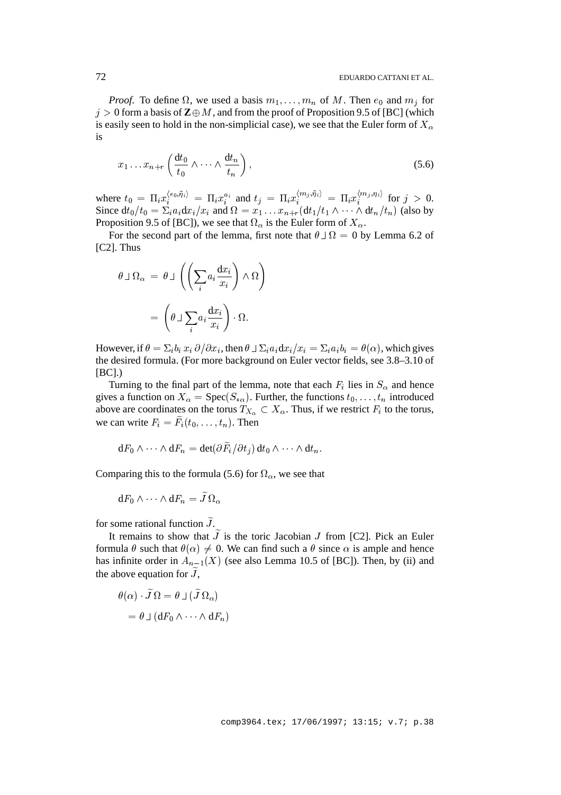*Proof.* To define  $\Omega$ , we used a basis  $m_1, \ldots, m_n$  of M. Then  $e_0$  and  $m_j$  for  $j > 0$  form a basis of  $\mathbb{Z} \oplus M$ , and from the proof of Proposition 9.5 of [BC] (which is easily seen to hold in the non-simplicial case), we see that the Euler form of  $X_{\alpha}$ is

$$
x_1 \dots x_{n+r} \left( \frac{dt_0}{t_0} \wedge \dots \wedge \frac{dt_n}{t_n} \right), \tag{5.6}
$$

where  $t_0 = \prod_i x_i^{(e_0, \eta_i)} = \prod_i x_i^{a_i}$  and  $t_j = \prod_i x_i^{\langle m_j, \eta_i \rangle} = \prod_i x_i^{\langle m_j, \eta_i \rangle}$  for  $j > 0$ . Since  $dt_0/t_0 = \sum_i a_i dx_i/x_i$  and  $\Omega = x_1 \dots x_{n+r} (dt_1/t_1 \wedge \dots \wedge dt_n/t_n)$  (also by Proposition 9.5 of [BC]), we see that  $\Omega_{\alpha}$  is the Euler form of  $X_{\alpha}$ .

For the second part of the lemma, first note that  $\theta \perp \Omega = 0$  by Lemma 6.2 of [C2]. Thus

$$
\theta \sqcup \Omega_{\alpha} = \theta \sqcup \left( \left( \sum_{i} a_{i} \frac{dx_{i}}{x_{i}} \right) \wedge \Omega \right)
$$

$$
= \left( \theta \sqcup \sum_{i} a_{i} \frac{dx_{i}}{x_{i}} \right) \cdot \Omega.
$$

However, if  $\theta = \sum_i b_i x_i \partial/\partial x_i$ , then  $\theta \perp \sum_i a_i dx_i / x_i = \sum_i a_i b_i = \theta(\alpha)$ , which gives the desired formula. (For more background on Euler vector fields, see 3.8–3.10 of  $[BC]$ .)

Turning to the final part of the lemma, note that each  $F_i$  lies in  $S_\alpha$  and hence gives a function on  $X_{\alpha} = \text{Spec}(S_{*\alpha})$ . Further, the functions  $t_0, \ldots, t_n$  introduced above are coordinates on the torus  $T_{X_\alpha} \subset X_\alpha$ . Thus, if we restrict  $F_i$  to the torus, we can write  $F_i = F_i(t_0, \ldots, t_n)$ . Then

$$
\mathrm{d} F_0\wedge\cdots\wedge\mathrm{d} F_n=\det(\partial \widetilde{F}_i/\partial t_j)\,\mathrm{d} t_0\wedge\cdots\wedge\mathrm{d} t_n.
$$

Comparing this to the formula (5.6) for  $\Omega_{\alpha}$ , we see that

$$
\mathrm{d} F_0\wedge\cdots\wedge\mathrm{d} F_n=\widetilde{J}\,\Omega_\alpha
$$

for some rational function  $\tilde{J}$ .

It remains to show that  $\tilde{J}$  is the toric Jacobian J from [C2]. Pick an Euler formula  $\theta$  such that  $\theta(\alpha) \neq 0$ . We can find such a  $\theta$  since  $\alpha$  is ample and hence has infinite order in  $A_{n-1}(X)$  (see also Lemma 10.5 of [BC]). Then, by (ii) and the above equation for  $\tilde{J}$ ,

$$
\theta(\alpha) \cdot \widetilde{J} \Omega = \theta \sqcup (\widetilde{J} \Omega_{\alpha})
$$

$$
= \theta \sqcup (\mathrm{d} F_0 \wedge \cdots \wedge \mathrm{d} F_n)
$$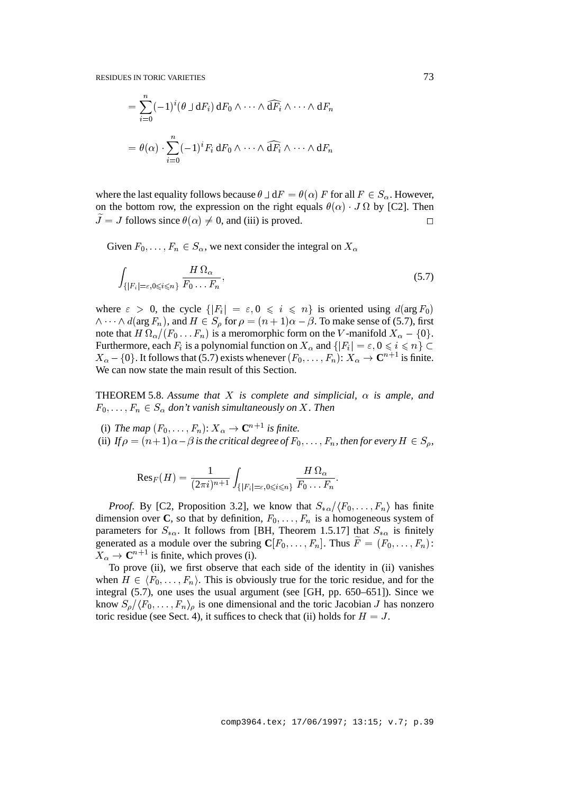$$
= \sum_{i=0}^{n} (-1)^{i} (\theta \sqcup dF_{i}) dF_{0} \wedge \cdots \wedge \widehat{dF_{i}} \wedge \cdots \wedge dF_{n}
$$

$$
= \theta(\alpha) \cdot \sum_{i=0}^{n} (-1)^{i} F_{i} dF_{0} \wedge \cdots \wedge \widehat{dF_{i}} \wedge \cdots \wedge dF_{n}
$$

where the last equality follows because  $\theta \perp dF = \theta(\alpha) F$  for all  $F \in S_\alpha$ . However, on the bottom row, the expression on the right equals  $\theta(\alpha) \cdot J \Omega$  by [C2]. Then  $\tilde{J} = J$  follows since  $\theta(\alpha) \neq 0$ , and (iii) is proved.

Given  $F_0,\ldots,F_n\in S_\alpha$ , we next consider the integral on  $X_\alpha$ 

$$
\int_{\{|F_i|=\varepsilon, 0\leqslant i\leqslant n\}} \frac{H\,\Omega_\alpha}{F_0\ldots F_n},\tag{5.7}
$$

where  $\varepsilon > 0$ , the cycle  $\{ |F_i| = \varepsilon, 0 \leq i \leq n \}$  is oriented using  $d(\arg F_0)$  $\wedge \cdots \wedge d(\arg F_n)$ , and  $H \in S_\rho$  for  $\rho = (n + 1)\alpha - \beta$ . To make sense of (5.7), first note that  $H\,\Omega_\alpha/(F_0\ldots F_n)$  is a meromorphic form on the V-manifold  $X_\alpha-\{0\}$ . Furthermore, each  $F_i$  is a polynomial function on  $X_\alpha$  and  $\{|F_i| = \varepsilon, 0 \leq i \leq n\} \subset$  $X_{\alpha}$  – {0}. It follows that (5.7) exists whenever  $(F_0, \ldots, F_n)$ :  $X_{\alpha} \to \mathbb{C}^{n+1}$  is finite. We can now state the main result of this Section.

**THEOREM 5.8.** Assume that X is complete and simplicial,  $\alpha$  is ample, and  $F_0,\ldots,F_n\in S_\alpha$  don't vanish simultaneously on X. Then

- (i) *The map*  $(F_0, \ldots, F_n)$ :  $X_\alpha \to \mathbb{C}^{n+1}$  *is finite.*
- (ii) If  $\rho = (n+1)\alpha \beta$  is the critical degree of  $F_0, \ldots, F_n$ , then for every  $H \in S_0$ ,

$$
\mathrm{Res}_F(H)=\frac{1}{(2\pi i)^{n+1}}\int_{\{|F_i|=\varepsilon,0\leqslant i\leqslant n\}}\frac{H\,\Omega_\alpha}{F_0\ldots F_n}.
$$

*Proof.* By [C2, Proposition 3.2], we know that  $S_{*\alpha}/\langle F_0, \ldots, F_n \rangle$  has finite dimension over **C**, so that by definition,  $F_0, \ldots, F_n$  is a homogeneous system of parameters for  $S_{*\alpha}$ . It follows from [BH, Theorem 1.5.17] that  $S_{*\alpha}$  is finitely generated as a module over the subring  $\mathbf{C}[F_0, \ldots, F_n]$ . Thus  $\widetilde{F} = (F_0, \ldots, F_n)$ :  $X_{\alpha} \to \mathbf{C}^{n+1}$  is finite, which proves (i).

To prove (ii), we first observe that each side of the identity in (ii) vanishes when  $H \in \langle F_0, \ldots, F_n \rangle$ . This is obviously true for the toric residue, and for the integral (5.7), one uses the usual argument (see [GH, pp. 650–651]). Since we know  $S_{\rho}/\langle F_0, \ldots, F_n \rangle_{\rho}$  is one dimensional and the toric Jacobian J has nonzero toric residue (see Sect. 4), it suffices to check that (ii) holds for  $H = J$ .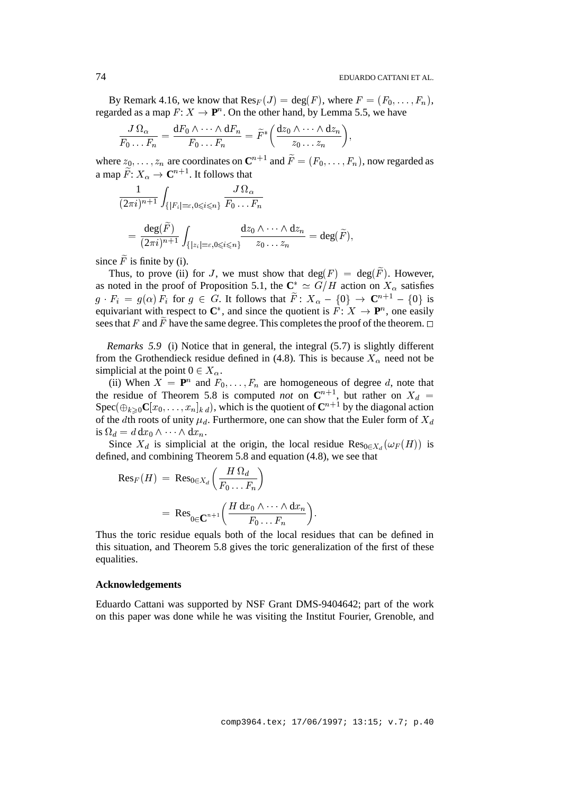By Remark 4.16, we know that  $\text{Res}_F(J) = \text{deg}(F)$ , where  $F = (F_0, \ldots, F_n)$ , regarded as a map  $F: X \to \mathbf{P}^n$ . On the other hand, by Lemma 5.5, we have

$$
\frac{J\,\Omega_{\alpha}}{F_0\ldots F_n}=\frac{\mathrm{d} F_0\wedge\cdots\wedge\mathrm{d} F_n}{F_0\ldots F_n}=\widetilde{F}^*\bigg(\frac{\mathrm{d} z_0\wedge\cdots\wedge\mathrm{d} z_n}{z_0\ldots z_n}\bigg),
$$

where  $z_0$ , ...,  $z_n$  are coordinates on  $\mathbb{C}^{n+1}$  and  $\tilde{F} = (F_0, \ldots, F_n)$ , now regarded as a map  $\widetilde{F}\colon X_\alpha\to{\mathbf C}^{n+1}.$  It follows that

$$
\frac{1}{(2\pi i)^{n+1}} \int_{\{|F_i|=\varepsilon, 0\leqslant i\leqslant n\}} \frac{J\,\Omega_\alpha}{F_0 \dots F_n}
$$
\n
$$
= \frac{\deg(\widetilde{F})}{(2\pi i)^{n+1}} \int_{\{|z_i|=\varepsilon, 0\leqslant i\leqslant n\}} \frac{dz_0 \wedge \dots \wedge dz_n}{z_0 \dots z_n} = \deg(\widetilde{F}),
$$

since  $F$  is finite by (i).

Thus, to prove (ii) for J, we must show that  $deg(F) = deg(F)$ . However, as noted in the proof of Proposition 5.1, the  $\mathbb{C}^* \simeq G/H$  action on  $X_\alpha$  satisfies  $g \cdot F_i = g(\alpha) F_i$  for  $g \in G$ . It follows that  $\widetilde{F}$ :  $X_\alpha - \{0\} \to \mathbb{C}^{n+1} - \{0\}$  is equivariant with respect to  $\mathbb{C}^*$ , and since the quotient is  $F: X \to \mathbb{P}^n$ , one easily sees that F and F have the same degree. This completes the proof of the theorem.  $\Box$ 

*Remarks* 5.9 (i) Notice that in general, the integral (5.7) is slightly different from the Grothendieck residue defined in (4.8). This is because  $X_{\alpha}$  need not be simplicial at the point  $0 \in X_{\alpha}$ .

(ii) When  $X = \mathbf{P}^n$  and  $F_0, \ldots, F_n$  are homogeneous of degree d, note that the residue of Theorem 5.8 is computed *not* on  $\mathbb{C}^{n+1}$ , but rather on  $X_d$  =  $\text{Spec}(\bigoplus_{k\geq0}C[x_0, \ldots, x_n]_{k,d})$ , which is the quotient of  $\mathbb{C}^{n+1}$  by the diagonal action of the dth roots of unity  $\mu_d$ . Furthermore, one can show that the Euler form of  $X_d$ is  $\Omega_d = d \, \mathrm{d} x_0 \wedge \cdots \wedge \mathrm{d} x_n.$ 

Since  $X_d$  is simplicial at the origin, the local residue  $\text{Res}_{0 \in X_d}(\omega_F(H))$  is defined, and combining Theorem 5.8 and equation (4.8), we see that

$$
\begin{aligned} \text{Res}_{F}(H) \ &= \text{Res}_{0 \in X_d} \left( \frac{H \, \Omega_d}{F_0 \dots F_n} \right) \\ &= \text{Res}_{0 \in \mathbf{C}^{n+1}} \left( \frac{H \, \mathrm{d} x_0 \wedge \dots \wedge \mathrm{d} x_n}{F_0 \dots F_n} \right). \end{aligned}
$$

Thus the toric residue equals both of the local residues that can be defined in this situation, and Theorem 5.8 gives the toric generalization of the first of these equalities.

### **Acknowledgements**

Eduardo Cattani was supported by NSF Grant DMS-9404642; part of the work on this paper was done while he was visiting the Institut Fourier, Grenoble, and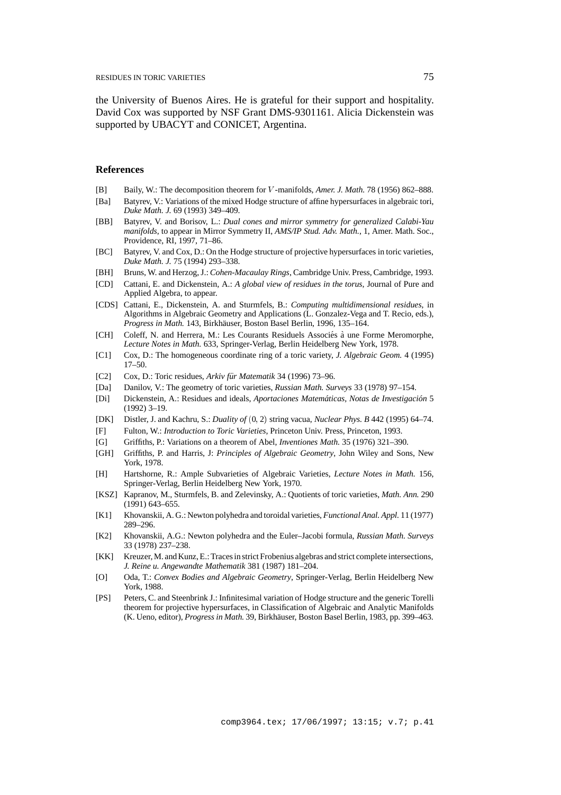the University of Buenos Aires. He is grateful for their support and hospitality. David Cox was supported by NSF Grant DMS-9301161. Alicia Dickenstein was supported by UBACYT and CONICET, Argentina.

## **References**

- [B] Baily, W.: The decomposition theorem for <sup>V</sup> -manifolds, *Amer. J. Math.* 78 (1956) 862–888.
- [Ba] Batyrev, V.: Variations of the mixed Hodge structure of affine hypersurfaces in algebraic tori, *Duke Math. J.* 69 (1993) 349–409.
- [BB] Batyrev, V. and Borisov, L.: *Dual cones and mirror symmetry for generalized Calabi-Yau manifolds*, to appear in Mirror Symmetry II, *AMS/IP Stud. Adv. Math.*, 1, Amer. Math. Soc., Providence, RI, 1997, 71–86.
- [BC] Batyrev, V. and Cox, D.: On the Hodge structure of projective hypersurfaces in toric varieties, *Duke Math. J.* 75 (1994) 293–338.
- [BH] Bruns, W. and Herzog, J.: *Cohen-Macaulay Rings*, Cambridge Univ. Press, Cambridge, 1993.
- [CD] Cattani, E. and Dickenstein, A.: *A global view of residues in the torus*, Journal of Pure and Applied Algebra, to appear.
- [CDS] Cattani, E., Dickenstein, A. and Sturmfels, B.: *Computing multidimensional residues*, in Algorithms in Algebraic Geometry and Applications (L. Gonzalez-Vega and T. Recio, eds.), *Progress in Math.* 143, Birkhäuser, Boston Basel Berlin, 1996, 135–164.
- [CH] Coleff, N. and Herrera, M.: Les Courants Residuels Associés à une Forme Meromorphe, *Lecture Notes in Math.* 633, Springer-Verlag, Berlin Heidelberg New York, 1978.
- [C1] Cox, D.: The homogeneous coordinate ring of a toric variety, *J. Algebraic Geom.* 4 (1995) 17–50.
- [C2] Cox, D.: Toric residues, *Arkiv für Matematik* 34 (1996) 73–96.
- [Da] Danilov, V.: The geometry of toric varieties, *Russian Math. Surveys* 33 (1978) 97–154.
- [Di] Dickenstein, A.: Residues and ideals, *Aportaciones Matemáticas, Notas de Investigación* 5 (1992) 3–19.
- [DK] Distler, J. and Kachru, S.: *Duality of* (0; 2) string vacua, *Nuclear Phys. B* 442 (1995) 64–74.
- [F] Fulton, W.: *Introduction to Toric Varieties*, Princeton Univ. Press, Princeton, 1993.
- [G] Griffiths, P.: Variations on a theorem of Abel, *Inventiones Math.* 35 (1976) 321–390.
- [GH] Griffiths, P. and Harris, J: *Principles of Algebraic Geometry*, John Wiley and Sons, New York, 1978.
- [H] Hartshorne, R.: Ample Subvarieties of Algebraic Varieties, *Lecture Notes in Math.* 156, Springer-Verlag, Berlin Heidelberg New York, 1970.
- [KSZ] Kapranov, M., Sturmfels, B. and Zelevinsky, A.: Quotients of toric varieties, *Math. Ann.* 290 (1991) 643–655.
- [K1] Khovanskii, A. G.: Newton polyhedra and toroidal varieties, *Functional Anal. Appl.* 11 (1977) 289–296.
- [K2] Khovanskii, A.G.: Newton polyhedra and the Euler–Jacobi formula, *Russian Math. Surveys* 33 (1978) 237–238.
- [KK] Kreuzer, M. and Kunz, E.: Traces in strict Frobenius algebras and strict complete intersections, *J. Reine u. Angewandte Mathematik* 381 (1987) 181–204.
- [O] Oda, T.: *Convex Bodies and Algebraic Geometry*, Springer-Verlag, Berlin Heidelberg New York, 1988.
- [PS] Peters, C. and Steenbrink J.: Infinitesimal variation of Hodge structure and the generic Torelli theorem for projective hypersurfaces, in Classification of Algebraic and Analytic Manifolds (K. Ueno, editor), *Progress in Math.* 39, Birkhauser, Boston Basel Berlin, 1983, pp. 399–463. ¨